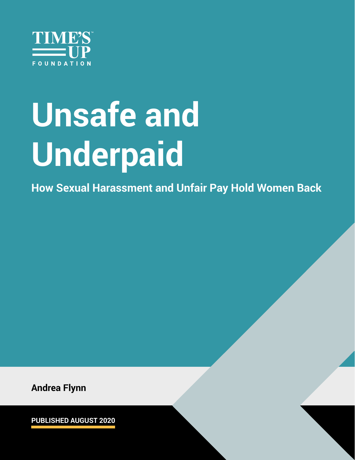

# **Unsafe and Underpaid**

**How Sexual Harassment and Unfair Pay Hold Women Back**

**Andrea Flynn**

**PUBLISHED AUGUST 2020**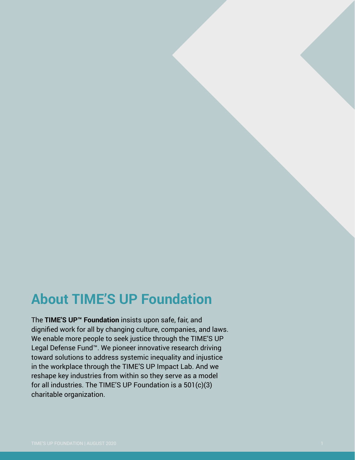### **About TIME'S UP Foundation**

The **TIME'S UP™ Foundation** insists upon safe, fair, and dignified work for all by changing culture, companies, and laws. We enable more people to seek justice through the TIME'S UP Legal Defense Fund™. We pioneer innovative research driving toward solutions to address systemic inequality and injustice in the workplace through the TIME'S UP Impact Lab. And we reshape key industries from within so they serve as a model for all industries. The TIME'S UP Foundation is a 501(c)(3) charitable organization.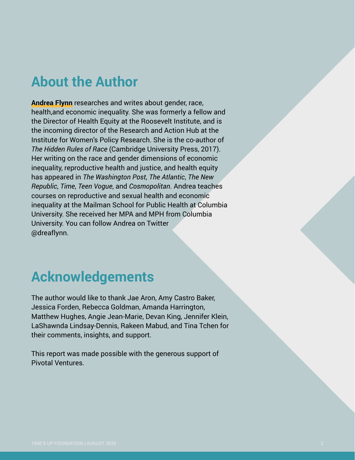### **About the Author**

**Andrea Flynn** researches and writes about gender, race, health,and economic inequality. She was formerly a fellow and the Director of Health Equity at the Roosevelt Institute, and is the incoming director of the Research and Action Hub at the Institute for Women's Policy Research. She is the co-author of *The Hidden Rules of Race* (Cambridge University Press, 2017). Her writing on the race and gender dimensions of economic inequality, reproductive health and justice, and health equity has appeared in *The Washington Post*, *The Atlantic*, *The New Republic*, *Time*, *Teen Vogue*, and *Cosmopolitan*. Andrea teaches courses on reproductive and sexual health and economic inequality at the Mailman School for Public Health at Columbia University. She received her MPA and MPH from Columbia University. You can follow Andrea on Twitter @dreaflynn.

### **Acknowledgements**

The author would like to thank Jae Aron, Amy Castro Baker, Jessica Forden, Rebecca Goldman, Amanda Harrington, Matthew Hughes, Angie Jean-Marie, Devan King, Jennifer Klein, LaShawnda Lindsay-Dennis, Rakeen Mabud, and Tina Tchen for their comments, insights, and support.

This report was made possible with the generous support of Pivotal Ventures.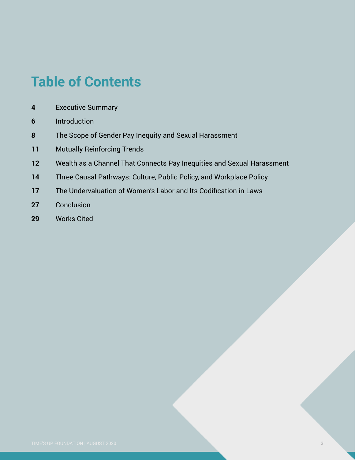## **Table of Contents**

- [Executive Summary](#page-4-0)
- [Introduction](#page-7-0)
- The Scope of Gender Pay Inequity and Sexual Harassment
- Mutually Reinforcing Trends
- Wealth as a Channel That Connects Pay Inequities and Sexual Harassment
- Three Causal Pathways: Culture, Public Policy, and Workplace Policy
- The Undervaluation of Women's Labor and Its Codification in Laws
- Conclusion
- [Works Cited](#page-32-0)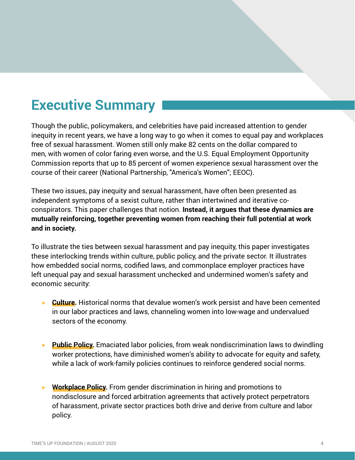### <span id="page-4-0"></span>**Executive Summary**

Though the public, policymakers, and celebrities have paid increased attention to gender inequity in recent years, we have a long way to go when it comes to equal pay and workplaces free of sexual harassment. Women still only make 82 cents on the dollar compared to men, with women of color faring even worse, and the U.S. Equal Employment Opportunity Commission reports that up to 85 percent of women experience sexual harassment over the course of their career (National Partnership, "America's Women"; EEOC).

These two issues, pay inequity and sexual harassment, have often been presented as independent symptoms of a sexist culture, rather than intertwined and iterative coconspirators. This paper challenges that notion. **Instead, it argues that these dynamics are mutually reinforcing, together preventing women from reaching their full potential at work and in society.** 

To illustrate the ties between sexual harassment and pay inequity, this paper investigates these interlocking trends within culture, public policy, and the private sector. It illustrates how embedded social norms, codified laws, and commonplace employer practices have left unequal pay and sexual harassment unchecked and undermined women's safety and economic security:

- ▶ Culture. Historical norms that devalue women's work persist and have been cemented in our labor practices and laws, channeling women into low-wage and undervalued sectors of the economy.
- ▶ **Public Policy.** Emaciated labor policies, from weak nondiscrimination laws to dwindling worker protections, have diminished women's ability to advocate for equity and safety, while a lack of work-family policies continues to reinforce gendered social norms.
- ▶ **Workplace Policy.** From gender discrimination in hiring and promotions to nondisclosure and forced arbitration agreements that actively protect perpetrators of harassment, private sector practices both drive and derive from culture and labor policy.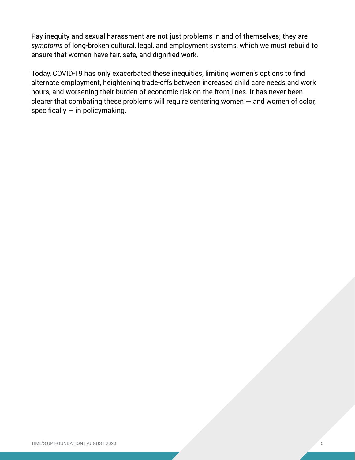Pay inequity and sexual harassment are not just problems in and of themselves; they are *symptoms* of long-broken cultural, legal, and employment systems, which we must rebuild to ensure that women have fair, safe, and dignified work.

Today, COVID-19 has only exacerbated these inequities, limiting women's options to find alternate employment, heightening trade-offs between increased child care needs and work hours, and worsening their burden of economic risk on the front lines. It has never been clearer that combating these problems will require centering women — and women of color, specifically  $-$  in policymaking.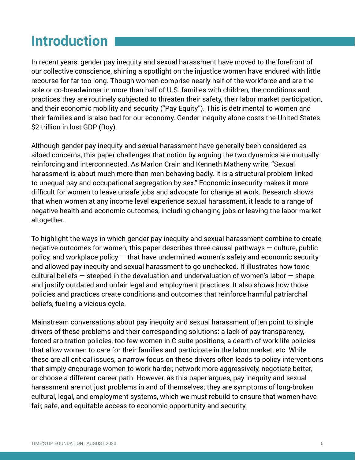### **Introduction**

In recent years, gender pay inequity and sexual harassment have moved to the forefront of our collective conscience, shining a spotlight on the injustice women have endured with little recourse for far too long. Though women comprise nearly half of the workforce and are the sole or co-breadwinner in more than half of U.S. families with children, the conditions and practices they are routinely subjected to threaten their safety, their labor market participation, and their economic mobility and security ("Pay Equity"). This is detrimental to women and their families and is also bad for our economy. Gender inequity alone costs the United States \$2 trillion in lost GDP (Roy).

Although gender pay inequity and sexual harassment have generally been considered as siloed concerns, this paper challenges that notion by arguing the two dynamics are mutually reinforcing and interconnected. As Marion Crain and Kenneth Matheny write, "Sexual harassment is about much more than men behaving badly. It is a structural problem linked to unequal pay and occupational segregation by sex." Economic insecurity makes it more difficult for women to leave unsafe jobs and advocate for change at work. Research shows that when women at any income level experience sexual harassment, it leads to a range of negative health and economic outcomes, including changing jobs or leaving the labor market altogether.

To highlight the ways in which gender pay inequity and sexual harassment combine to create negative outcomes for women, this paper describes three causal pathways  $-$  culture, public policy, and workplace policy — that have undermined women's safety and economic security and allowed pay inequity and sexual harassment to go unchecked. It illustrates how toxic cultural beliefs  $-$  steeped in the devaluation and undervaluation of women's labor  $-$  shape and justify outdated and unfair legal and employment practices. It also shows how those policies and practices create conditions and outcomes that reinforce harmful patriarchal beliefs, fueling a vicious cycle.

Mainstream conversations about pay inequity and sexual harassment often point to single drivers of these problems and their corresponding solutions: a lack of pay transparency, forced arbitration policies, too few women in C-suite positions, a dearth of work-life policies that allow women to care for their families and participate in the labor market, etc. While these are all critical issues, a narrow focus on these drivers often leads to policy interventions that simply encourage women to work harder, network more aggressively, negotiate better, or choose a different career path. However, as this paper argues, pay inequity and sexual harassment are not just problems in and of themselves; they are symptoms of long-broken cultural, legal, and employment systems, which we must rebuild to ensure that women have fair, safe, and equitable access to economic opportunity and security.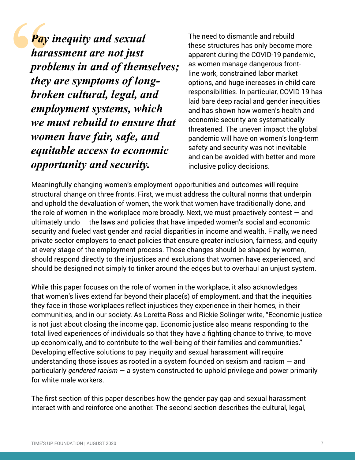<span id="page-7-0"></span>*Pay inequity and sexual harassment are not just problems in and of themselves; they are symptoms of longbroken cultural, legal, and employment systems, which we must rebuild to ensure that women have fair, safe, and equitable access to economic opportunity and security.*

The need to dismantle and rebuild these structures has only become more apparent during the COVID-19 pandemic, as women manage dangerous frontline work, constrained labor market options, and huge increases in child care responsibilities. In particular, COVID-19 has laid bare deep racial and gender inequities and has shown how women's health and economic security are systematically threatened. The uneven impact the global pandemic will have on women's long-term safety and security was not inevitable and can be avoided with better and more inclusive policy decisions.

Meaningfully changing women's employment opportunities and outcomes will require structural change on three fronts. First, we must address the cultural norms that underpin and uphold the devaluation of women, the work that women have traditionally done, and the role of women in the workplace more broadly. Next, we must proactively contest  $-$  and ultimately undo  $-$  the laws and policies that have impeded women's social and economic security and fueled vast gender and racial disparities in income and wealth. Finally, we need private sector employers to enact policies that ensure greater inclusion, fairness, and equity at every stage of the employment process. Those changes should be shaped by women, should respond directly to the injustices and exclusions that women have experienced, and should be designed not simply to tinker around the edges but to overhaul an unjust system.

While this paper focuses on the role of women in the workplace, it also acknowledges that women's lives extend far beyond their place(s) of employment, and that the inequities they face in those workplaces reflect injustices they experience in their homes, in their communities, and in our society. As Loretta Ross and Rickie Solinger write, "Economic justice is not just about closing the income gap. Economic justice also means responding to the total lived experiences of individuals so that they have a fighting chance to thrive, to move up economically, and to contribute to the well-being of their families and communities." Developing effective solutions to pay inequity and sexual harassment will require understanding those issues as rooted in a system founded on sexism and racism  $-$  and particularly *gendered racism* — a system constructed to uphold privilege and power primarily for white male workers.

The first section of this paper describes how the gender pay gap and sexual harassment interact with and reinforce one another. The second section describes the cultural, legal,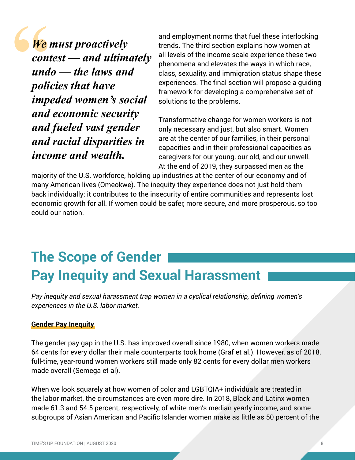*We must proactively contest — and ultimately undo — the laws and policies that have impeded women's social and economic security and fueled vast gender and racial disparities in income and wealth.*

and employment norms that fuel these interlocking trends. The third section explains how women at all levels of the income scale experience these two phenomena and elevates the ways in which race, class, sexuality, and immigration status shape these experiences. The final section will propose a guiding framework for developing a comprehensive set of solutions to the problems.

Transformative change for women workers is not only necessary and just, but also smart. Women are at the center of our families, in their personal capacities and in their professional capacities as caregivers for our young, our old, and our unwell. At the end of 2019, they surpassed men as the

majority of the U.S. workforce, holding up industries at the center of our economy and of many American lives (Omeokwe). The inequity they experience does not just hold them back individually; it contributes to the insecurity of entire communities and represents lost economic growth for all. If women could be safer, more secure, and more prosperous, so too could our nation.

### **The Scope of Gender Pay Inequity and Sexual Harassment**

*Pay inequity and sexual harassment trap women in a cyclical relationship, defining women's experiences in the U.S. labor market.*

#### **Gender Pay Inequity**

The gender pay gap in the U.S. has improved overall since 1980, when women workers made 64 cents for every dollar their male counterparts took home (Graf et al.). However, as of 2018, full-time, year-round women workers still made only 82 cents for every dollar men workers made overall (Semega et al).

When we look squarely at how women of color and LGBTQIA+ individuals are treated in the labor market, the circumstances are even more dire. In 2018, Black and Latinx women made 61.3 and 54.5 percent, respectively, of white men's median yearly income, and some subgroups of Asian American and Pacific Islander women make as little as 50 percent of the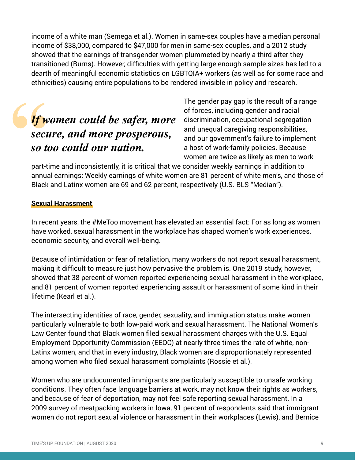income of a white man (Semega et al.). Women in same-sex couples have a median personal income of \$38,000, compared to \$47,000 for men in same-sex couples, and a 2012 study showed that the earnings of transgender women plummeted by nearly a third after they transitioned (Burns). However, difficulties with getting large enough sample sizes has led to a dearth of meaningful economic statistics on LGBTQIA+ workers (as well as for some race and ethnicities) causing entire populations to be rendered invisible in policy and research.

### *If women could be safer, more secure, and more prosperous, so too could our nation.*

The gender pay gap is the result of a range of forces, including gender and racial discrimination, occupational segregation and unequal caregiving responsibilities, and our government's failure to implement a host of work-family policies. Because women are twice as likely as men to work

part-time and inconsistently, it is critical that we consider weekly earnings in addition to annual earnings: Weekly earnings of white women are 81 percent of white men's, and those of Black and Latinx women are 69 and 62 percent, respectively (U.S. BLS "Median").

#### **Sexual Harassment**

In recent years, the #MeToo movement has elevated an essential fact: For as long as women have worked, sexual harassment in the workplace has shaped women's work experiences, economic security, and overall well-being.

Because of intimidation or fear of retaliation, many workers do not report sexual harassment, making it difficult to measure just how pervasive the problem is. One 2019 study, however, showed that 38 percent of women reported experiencing sexual harassment in the workplace, and 81 percent of women reported experiencing assault or harassment of some kind in their lifetime (Kearl et al.).

The intersecting identities of race, gender, sexuality, and immigration status make women particularly vulnerable to both low-paid work and sexual harassment. The National Women's Law Center found that Black women filed sexual harassment charges with the U.S. Equal Employment Opportunity Commission (EEOC) at nearly three times the rate of white, non-Latinx women, and that in every industry, Black women are disproportionately represented among women who filed sexual harassment complaints (Rossie et al.).

Women who are undocumented immigrants are particularly susceptible to unsafe working conditions. They often face language barriers at work, may not know their rights as workers, and because of fear of deportation, may not feel safe reporting sexual harassment. In a 2009 survey of meatpacking workers in Iowa, 91 percent of respondents said that immigrant women do not report sexual violence or harassment in their workplaces (Lewis), and Bernice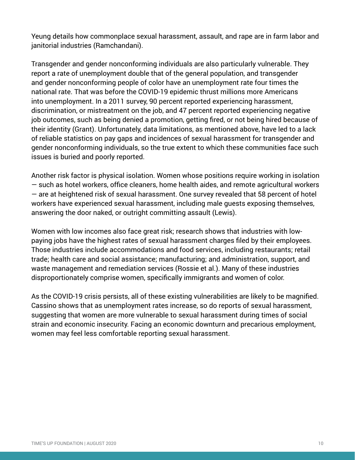Yeung details how commonplace sexual harassment, assault, and rape are in farm labor and janitorial industries (Ramchandani).

Transgender and gender nonconforming individuals are also particularly vulnerable. They report a rate of unemployment double that of the general population, and transgender and gender nonconforming people of color have an unemployment rate four times the national rate. That was before the COVID-19 epidemic thrust millions more Americans into unemployment. In a 2011 survey, 90 percent reported experiencing harassment, discrimination, or mistreatment on the job, and 47 percent reported experiencing negative job outcomes, such as being denied a promotion, getting fired, or not being hired because of their identity (Grant). Unfortunately, data limitations, as mentioned above, have led to a lack of reliable statistics on pay gaps and incidences of sexual harassment for transgender and gender nonconforming individuals, so the true extent to which these communities face such issues is buried and poorly reported.

Another risk factor is physical isolation. Women whose positions require working in isolation — such as hotel workers, office cleaners, home health aides, and remote agricultural workers — are at heightened risk of sexual harassment. One survey revealed that 58 percent of hotel workers have experienced sexual harassment, including male guests exposing themselves, answering the door naked, or outright committing assault (Lewis).

Women with low incomes also face great risk; research shows that industries with lowpaying jobs have the highest rates of sexual harassment charges filed by their employees. Those industries include accommodations and food services, including restaurants; retail trade; health care and social assistance; manufacturing; and administration, support, and waste management and remediation services (Rossie et al.). Many of these industries disproportionately comprise women, specifically immigrants and women of color.

As the COVID-19 crisis persists, all of these existing vulnerabilities are likely to be magnified. Cassino shows that as unemployment rates increase, so do reports of sexual harassment, suggesting that women are more vulnerable to sexual harassment during times of social strain and economic insecurity. Facing an economic downturn and precarious employment, women may feel less comfortable reporting sexual harassment.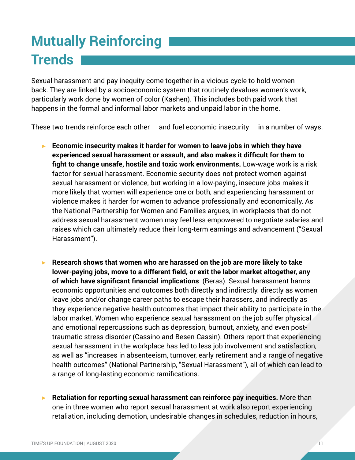# **Mutually Reinforcing Trends**

Sexual harassment and pay inequity come together in a vicious cycle to hold women back. They are linked by a socioeconomic system that routinely devalues women's work, particularly work done by women of color (Kashen). This includes both paid work that happens in the formal and informal labor markets and unpaid labor in the home.

These two trends reinforce each other  $-$  and fuel economic insecurity  $-$  in a number of ways.

- ▶ **Economic insecurity makes it harder for women to leave jobs in which they have experienced sexual harassment or assault, and also makes it difficult for them to fight to change unsafe, hostile and toxic work environments.** Low-wage work is a risk factor for sexual harassment. Economic security does not protect women against sexual harassment or violence, but working in a low-paying, insecure jobs makes it more likely that women will experience one or both, and experiencing harassment or violence makes it harder for women to advance professionally and economically. As the National Partnership for Women and Families argues, in workplaces that do not address sexual harassment women may feel less empowered to negotiate salaries and raises which can ultimately reduce their long-term earnings and advancement ("Sexual Harassment").
- ▶ **Research shows that women who are harassed on the job are more likely to take lower-paying jobs, move to a different field, or exit the labor market altogether, any of which have significant financial implications** (Beras). Sexual harassment harms economic opportunities and outcomes both directly and indirectly: directly as women leave jobs and/or change career paths to escape their harassers, and indirectly as they experience negative health outcomes that impact their ability to participate in the labor market. Women who experience sexual harassment on the job suffer physical and emotional repercussions such as depression, burnout, anxiety, and even posttraumatic stress disorder (Cassino and Besen-Cassin). Others report that experiencing sexual harassment in the workplace has led to less job involvement and satisfaction, as well as "increases in absenteeism, turnover, early retirement and a range of negative health outcomes" (National Partnership, "Sexual Harassment"), all of which can lead to a range of long-lasting economic ramifications.
- ▶ **Retaliation for reporting sexual harassment can reinforce pay inequities.** More than one in three women who report sexual harassment at work also report experiencing retaliation, including demotion, undesirable changes in schedules, reduction in hours,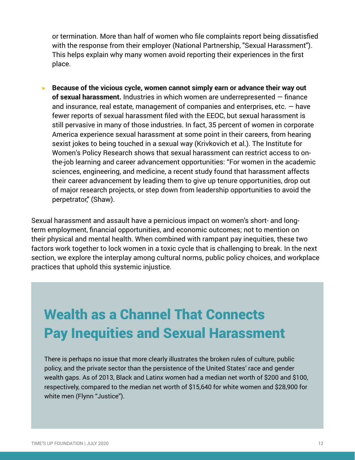or termination. More than half of women who file complaints report being dissatisfied with the response from their employer (National Partnership, "Sexual Harassment"). This helps explain why many women avoid reporting their experiences in the first place.

▶ **Because of the vicious cycle, women cannot simply earn or advance their way out of sexual harassment.** Industries in which women are underrepresented — finance and insurance, real estate, management of companies and enterprises, etc.  $-$  have fewer reports of sexual harassment filed with the EEOC, but sexual harassment is still pervasive in many of those industries. In fact, 35 percent of women in corporate America experience sexual harassment at some point in their careers, from hearing sexist jokes to being touched in a sexual way (Krivkovich et al.). The Institute for Women's Policy Research shows that sexual harassment can restrict access to onthe-job learning and career advancement opportunities: "For women in the academic sciences, engineering, and medicine, a recent study found that harassment affects their career advancement by leading them to give up tenure opportunities, drop out of major research projects, or step down from leadership opportunities to avoid the perpetrator," (Shaw).

Sexual harassment and assault have a pernicious impact on women's short- and longterm employment, financial opportunities, and economic outcomes; not to mention on their physical and mental health. When combined with rampant pay inequities, these two factors work together to lock women in a toxic cycle that is challenging to break. In the next section, we explore the interplay among cultural norms, public policy choices, and workplace practices that uphold this systemic injustice.

# Wealth as a Channel That Connects Pay Inequities and Sexual Harassment

There is perhaps no issue that more clearly illustrates the broken rules of culture, public policy, and the private sector than the persistence of the United States' race and gender wealth gaps. As of 2013, Black and Latinx women had a median net worth of \$200 and \$100, respectively, compared to the median net worth of \$15,640 for white women and \$28,900 for white men (Flynn "Justice").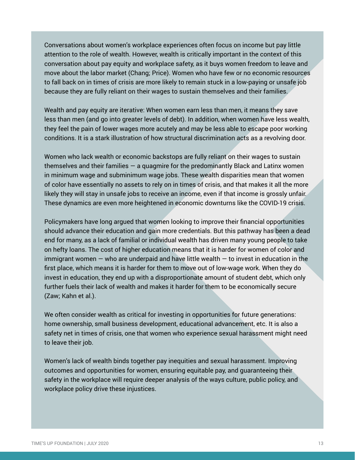Conversations about women's workplace experiences often focus on income but pay little attention to the role of wealth. However, wealth is critically important in the context of this conversation about pay equity and workplace safety, as it buys women freedom to leave and move about the labor market (Chang; Price). Women who have few or no economic resources to fall back on in times of crisis are more likely to remain stuck in a low-paying or unsafe job because they are fully reliant on their wages to sustain themselves and their families.

Wealth and pay equity are iterative: When women earn less than men, it means they save less than men (and go into greater levels of debt). In addition, when women have less wealth, they feel the pain of lower wages more acutely and may be less able to escape poor working conditions. It is a stark illustration of how structural discrimination acts as a revolving door.

Women who lack wealth or economic backstops are fully reliant on their wages to sustain themselves and their families  $-$  a quagmire for the predominantly Black and Latinx women in minimum wage and subminimum wage jobs. These wealth disparities mean that women of color have essentially no assets to rely on in times of crisis, and that makes it all the more likely they will stay in unsafe jobs to receive an income, even if that income is grossly unfair. These dynamics are even more heightened in economic downturns like the COVID-19 crisis.

Policymakers have long argued that women looking to improve their financial opportunities should advance their education and gain more credentials. But this pathway has been a dead end for many, as a lack of familial or individual wealth has driven many young people to take on hefty loans. The cost of higher education means that it is harder for women of color and immigrant women  $-$  who are underpaid and have little wealth  $-$  to invest in education in the first place, which means it is harder for them to move out of low-wage work. When they do invest in education, they end up with a disproportionate amount of student debt, which only further fuels their lack of wealth and makes it harder for them to be economically secure (Zaw; Kahn et al.).

We often consider wealth as critical for investing in opportunities for future generations: home ownership, small business development, educational advancement, etc. It is also a safety net in times of crisis, one that women who experience sexual harassment might need to leave their job.

Women's lack of wealth binds together pay inequities and sexual harassment. Improving outcomes and opportunities for women, ensuring equitable pay, and guaranteeing their safety in the workplace will require deeper analysis of the ways culture, public policy, and workplace policy drive these injustices.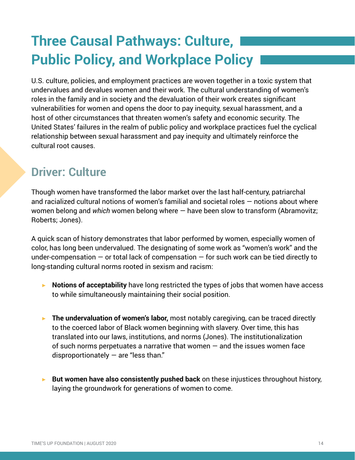# **Three Causal Pathways: Culture, Public Policy, and Workplace Policy**

U.S. culture, policies, and employment practices are woven together in a toxic system that undervalues and devalues women and their work. The cultural understanding of women's roles in the family and in society and the devaluation of their work creates significant vulnerabilities for women and opens the door to pay inequity, sexual harassment, and a host of other circumstances that threaten women's safety and economic security. The United States' failures in the realm of public policy and workplace practices fuel the cyclical relationship between sexual harassment and pay inequity and ultimately reinforce the cultural root causes.

### **Driver: Culture**

Though women have transformed the labor market over the last half-century, patriarchal and racialized cultural notions of women's familial and societal roles — notions about where women belong and *which* women belong where — have been slow to transform (Abramovitz; Roberts; Jones).

A quick scan of history demonstrates that labor performed by women, especially women of color, has long been undervalued. The designating of some work as "women's work" and the under-compensation  $-$  or total lack of compensation  $-$  for such work can be tied directly to long-standing cultural norms rooted in sexism and racism:

- **▶ Notions of acceptability** have long restricted the types of jobs that women have access to while simultaneously maintaining their social position.
- **▶ The undervaluation of women's labor,** most notably caregiving, can be traced directly to the coerced labor of Black women beginning with slavery. Over time, this has translated into our laws, institutions, and norms (Jones). The institutionalization of such norms perpetuates a narrative that women  $-$  and the issues women face disproportionately  $-$  are "less than."
- **But women have also consistently pushed back** on these injustices throughout history, laying the groundwork for generations of women to come.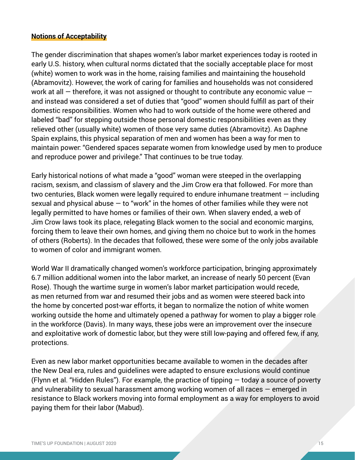#### **Notions of Acceptability**

The gender discrimination that shapes women's labor market experiences today is rooted in early U.S. history, when cultural norms dictated that the socially acceptable place for most (white) women to work was in the home, raising families and maintaining the household (Abramovitz). However, the work of caring for families and households was not considered work at all  $-$  therefore, it was not assigned or thought to contribute any economic value  $$ and instead was considered a set of duties that "good" women should fulfill as part of their domestic responsibilities. Women who had to work outside of the home were othered and labeled "bad" for stepping outside those personal domestic responsibilities even as they relieved other (usually white) women of those very same duties (Abramovitz). As Daphne Spain explains, this physical separation of men and women has been a way for men to maintain power: "Gendered spaces separate women from knowledge used by men to produce and reproduce power and privilege." That continues to be true today.

Early historical notions of what made a "good" woman were steeped in the overlapping racism, sexism, and classism of slavery and the Jim Crow era that followed. For more than two centuries, Black women were legally required to endure inhumane treatment — including sexual and physical abuse  $-$  to "work" in the homes of other families while they were not legally permitted to have homes or families of their own. When slavery ended, a web of Jim Crow laws took its place, relegating Black women to the social and economic margins, forcing them to leave their own homes, and giving them no choice but to work in the homes of others (Roberts). In the decades that followed, these were some of the only jobs available to women of color and immigrant women.

World War II dramatically changed women's workforce participation, bringing approximately 6.7 million additional women into the labor market, an increase of nearly 50 percent (Evan Rose). Though the wartime surge in women's labor market participation would recede, as men returned from war and resumed their jobs and as women were steered back into the home by concerted post-war efforts, it began to normalize the notion of white women working outside the home and ultimately opened a pathway for women to play a bigger role in the workforce (Davis). In many ways, these jobs were an improvement over the insecure and exploitative work of domestic labor, but they were still low-paying and offered few, if any, protections.

Even as new labor market opportunities became available to women in the decades after the New Deal era, rules and guidelines were adapted to ensure exclusions would continue (Flynn et al. "Hidden Rules"). For example, the practice of tipping — today a source of poverty and vulnerability to sexual harassment among working women of all races — emerged in resistance to Black workers moving into formal employment as a way for employers to avoid paying them for their labor (Mabud).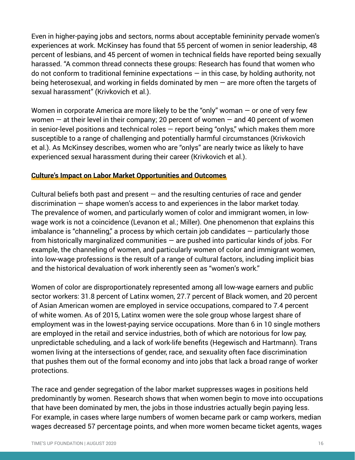Even in higher-paying jobs and sectors, norms about acceptable femininity pervade women's experiences at work. McKinsey has found that 55 percent of women in senior leadership, 48 percent of lesbians, and 45 percent of women in technical fields have reported being sexually harassed. "A common thread connects these groups: Research has found that women who do not conform to traditional feminine expectations  $-$  in this case, by holding authority, not being heterosexual, and working in fields dominated by men  $-$  are more often the targets of sexual harassment" (Krivkovich et al.).

Women in corporate America are more likely to be the "only" woman  $-$  or one of very few women  $-$  at their level in their company; 20 percent of women  $-$  and 40 percent of women in senior-level positions and technical roles — report being "onlys," which makes them more susceptible to a range of challenging and potentially harmful circumstances (Krivkovich et al.). As McKinsey describes, women who are "onlys" are nearly twice as likely to have experienced sexual harassment during their career (Krivkovich et al.).

#### **Culture's Impact on Labor Market Opportunities and Outcomes**

Cultural beliefs both past and present  $-$  and the resulting centuries of race and gender discrimination — shape women's access to and experiences in the labor market today. The prevalence of women, and particularly women of color and immigrant women, in lowwage work is not a coincidence (Levanon et al.; Miller). One phenomenon that explains this imbalance is "channeling," a process by which certain job candidates — particularly those from historically marginalized communities  $-$  are pushed into particular kinds of jobs. For example, the channeling of women, and particularly women of color and immigrant women, into low-wage professions is the result of a range of cultural factors, including implicit bias and the historical devaluation of work inherently seen as "women's work."

Women of color are disproportionately represented among all low-wage earners and public sector workers: 31.8 percent of Latinx women, 27.7 percent of Black women, and 20 percent of Asian American women are employed in service occupations, compared to 7.4 percent of white women. As of 2015, Latinx women were the sole group whose largest share of employment was in the lowest-paying service occupations. More than 6 in 10 single mothers are employed in the retail and service industries, both of which are notorious for low pay, unpredictable scheduling, and a lack of work-life benefits (Hegewisch and Hartmann). Trans women living at the intersections of gender, race, and sexuality often face discrimination that pushes them out of the formal economy and into jobs that lack a broad range of worker protections.

The race and gender segregation of the labor market suppresses wages in positions held predominantly by women. Research shows that when women begin to move into occupations that have been dominated by men, the jobs in those industries actually begin paying less. For example, in cases where large numbers of women became park or camp workers, median wages decreased 57 percentage points, and when more women became ticket agents, wages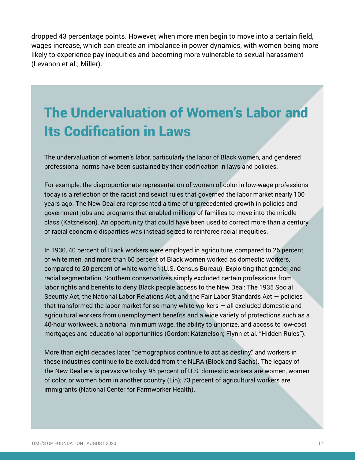dropped 43 percentage points. However, when more men begin to move into a certain field, wages increase, which can create an imbalance in power dynamics, with women being more likely to experience pay inequities and becoming more vulnerable to sexual harassment (Levanon et al.; Miller).

# The Undervaluation of Women's Labor and Its Codification in Laws

The undervaluation of women's labor, particularly the labor of Black women, and gendered professional norms have been sustained by their codification in laws and policies.

For example, the disproportionate representation of women of color in low-wage professions today is a reflection of the racist and sexist rules that governed the labor market nearly 100 years ago. The New Deal era represented a time of unprecedented growth in policies and government jobs and programs that enabled millions of families to move into the middle class (Katznelson). An opportunity that could have been used to correct more than a century of racial economic disparities was instead seized to reinforce racial inequities.

In 1930, 40 percent of Black workers were employed in agriculture, compared to 26 percent of white men, and more than 60 percent of Black women worked as domestic workers, compared to 20 percent of white women (U.S. Census Bureau). Exploiting that gender and racial segmentation, Southern conservatives simply excluded certain professions from labor rights and benefits to deny Black people access to the New Deal: The 1935 Social Security Act, the National Labor Relations Act, and the Fair Labor Standards Act — policies that transformed the labor market for so many white workers  $-$  all excluded domestic and agricultural workers from unemployment benefits and a wide variety of protections such as a 40-hour workweek, a national minimum wage, the ability to unionize, and access to low-cost mortgages and educational opportunities (Gordon; Katznelson; Flynn et al. "Hidden Rules").

More than eight decades later, "demographics continue to act as destiny," and workers in these industries continue to be excluded from the NLRA (Block and Sachs). The legacy of the New Deal era is pervasive today: 95 percent of U.S. domestic workers are women, women of color, or women born in another country (Lin); 73 percent of agricultural workers are immigrants (National Center for Farmworker Health).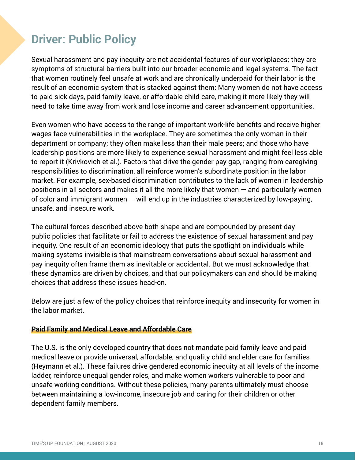### **Driver: Public Policy**

Sexual harassment and pay inequity are not accidental features of our workplaces; they are symptoms of structural barriers built into our broader economic and legal systems. The fact that women routinely feel unsafe at work and are chronically underpaid for their labor is the result of an economic system that is stacked against them: Many women do not have access to paid sick days, paid family leave, or affordable child care, making it more likely they will need to take time away from work and lose income and career advancement opportunities.

Even women who have access to the range of important work-life benefits and receive higher wages face vulnerabilities in the workplace. They are sometimes the only woman in their department or company; they often make less than their male peers; and those who have leadership positions are more likely to experience sexual harassment and might feel less able to report it (Krivkovich et al.). Factors that drive the gender pay gap, ranging from caregiving responsibilities to discrimination, all reinforce women's subordinate position in the labor market. For example, sex-based discrimination contributes to the lack of women in leadership positions in all sectors and makes it all the more likely that women — and particularly women of color and immigrant women  $-$  will end up in the industries characterized by low-paying, unsafe, and insecure work.

The cultural forces described above both shape and are compounded by present-day public policies that facilitate or fail to address the existence of sexual harassment and pay inequity. One result of an economic ideology that puts the spotlight on individuals while making systems invisible is that mainstream conversations about sexual harassment and pay inequity often frame them as inevitable or accidental. But we must acknowledge that these dynamics are driven by choices, and that our policymakers can and should be making choices that address these issues head-on.

Below are just a few of the policy choices that reinforce inequity and insecurity for women in the labor market.

#### **Paid Family and Medical Leave and Affordable Care**

The U.S. is the only developed country that does not mandate paid family leave and paid medical leave or provide universal, affordable, and quality child and elder care for families (Heymann et al.). These failures drive gendered economic inequity at all levels of the income ladder, reinforce unequal gender roles, and make women workers vulnerable to poor and unsafe working conditions. Without these policies, many parents ultimately must choose between maintaining a low-income, insecure job and caring for their children or other dependent family members.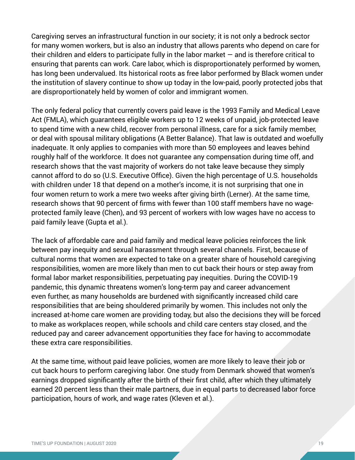Caregiving serves an infrastructural function in our society; it is not only a bedrock sector for many women workers, but is also an industry that allows parents who depend on care for their children and elders to participate fully in the labor market  $-$  and is therefore critical to ensuring that parents can work. Care labor, which is disproportionately performed by women, has long been undervalued. Its historical roots as free labor performed by Black women under the institution of slavery continue to show up today in the low-paid, poorly protected jobs that are disproportionately held by women of color and immigrant women.

The only federal policy that currently covers paid leave is the 1993 Family and Medical Leave Act (FMLA), which guarantees eligible workers up to 12 weeks of unpaid, job-protected leave to spend time with a new child, recover from personal illness, care for a sick family member, or deal with spousal military obligations (A Better Balance). That law is outdated and woefully inadequate. It only applies to companies with more than 50 employees and leaves behind roughly half of the workforce. It does not guarantee any compensation during time off, and research shows that the vast majority of workers do not take leave because they simply cannot afford to do so (U.S. Executive Office). Given the high percentage of U.S. households with children under 18 that depend on a mother's income, it is not surprising that one in four women return to work a mere two weeks after giving birth (Lerner). At the same time, research shows that 90 percent of firms with fewer than 100 staff members have no wageprotected family leave (Chen), and 93 percent of workers with low wages have no access to paid family leave (Gupta et al.).

The lack of affordable care and paid family and medical leave policies reinforces the link between pay inequity and sexual harassment through several channels. First, because of cultural norms that women are expected to take on a greater share of household caregiving responsibilities, women are more likely than men to cut back their hours or step away from formal labor market responsibilities, perpetuating pay inequities. During the COVID-19 pandemic, this dynamic threatens women's long-term pay and career advancement even further, as many households are burdened with significantly increased child care responsibilities that are being shouldered primarily by women. This includes not only the increased at-home care women are providing today, but also the decisions they will be forced to make as workplaces reopen, while schools and child care centers stay closed, and the reduced pay and career advancement opportunities they face for having to accommodate these extra care responsibilities.

At the same time, without paid leave policies, women are more likely to leave their job or cut back hours to perform caregiving labor. One study from Denmark showed that women's earnings dropped significantly after the birth of their first child, after which they ultimately earned 20 percent less than their male partners, due in equal parts to decreased labor force participation, hours of work, and wage rates (Kleven et al.).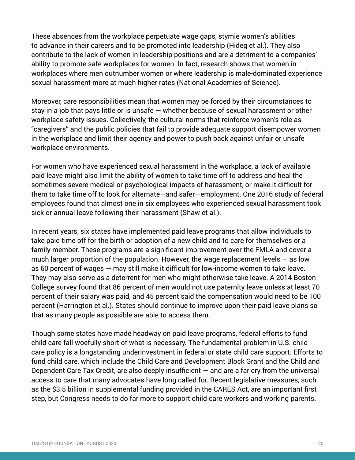These absences from the workplace perpetuate wage gaps, stymie women's abilities to advance in their careers and to be promoted into leadership (Hideg et al.). They also contribute to the lack of women in leadership positions and are a detriment to a companies' ability to promote safe workplaces for women. In fact, research shows that women in workplaces where men outnumber women or where leadership is male-dominated experience sexual harassment more at much higher rates (National Academies of Science).

Moreover, care responsibilities mean that women may be forced by their circumstances to stay in a job that pays little or is unsafe — whether because of sexual harassment or other workplace safety issues. Collectively, the cultural norms that reinforce women's role as "caregivers" and the public policies that fail to provide adequate support disempower women in the workplace and limit their agency and power to push back against unfair or unsafe workplace environments.

For women who have experienced sexual harassment in the workplace, a lack of available paid leave might also limit the ability of women to take time off to address and heal the sometimes severe medical or psychological impacts of harassment, or make it difficult for them to take time off to look for alternate—and safer—employment. One 2016 study of federal employees found that almost one in six employees who experienced sexual harassment took sick or annual leave following their harassment (Shaw et al.).

In recent years, six states have implemented paid leave programs that allow individuals to take paid time off for the birth or adoption of a new child and to care for themselves or a family member. These programs are a significant improvement over the FMLA and cover a much larger proportion of the population. However, the wage replacement levels  $-$  as low as 60 percent of wages — may still make it difficult for low-income women to take leave. They may also serve as a deterrent for men who might otherwise take leave. A 2014 Boston College survey found that 86 percent of men would not use paternity leave unless at least 70 percent of their salary was paid, and 45 percent said the compensation would need to be 100 percent (Harrington et al.). States should continue to improve upon their paid leave plans so that as many people as possible are able to access them.

Though some states have made headway on paid leave programs, federal efforts to fund child care fall woefully short of what is necessary. The fundamental problem in U.S. child care policy is a longstanding underinvestment in federal or state child care support. Efforts to fund child care, which include the Child Care and Development Block Grant and the Child and Dependent Care Tax Credit, are also deeply insufficient  $-$  and are a far cry from the universal access to care that many advocates have long called for. Recent legislative measures, such as the \$3.5 billion in supplemental funding provided in the CARES Act, are an important first step, but Congress needs to do far more to support child care workers and working parents.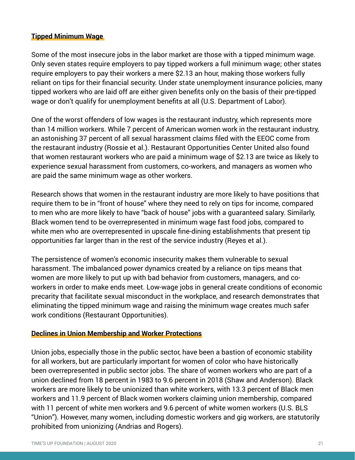#### **Tipped Minimum Wage**

Some of the most insecure jobs in the labor market are those with a tipped minimum wage. Only seven states require employers to pay tipped workers a full minimum wage; other states require employers to pay their workers a mere \$2.13 an hour, making those workers fully reliant on tips for their financial security. Under state unemployment insurance policies, many tipped workers who are laid off are either given benefits only on the basis of their pre-tipped wage or don't qualify for unemployment benefits at all (U.S. Department of Labor).

One of the worst offenders of low wages is the restaurant industry, which represents more than 14 million workers. While 7 percent of American women work in the restaurant industry, an astonishing 37 percent of all sexual harassment claims filed with the EEOC come from the restaurant industry (Rossie et al.). Restaurant Opportunities Center United also found that women restaurant workers who are paid a minimum wage of \$2.13 are twice as likely to experience sexual harassment from customers, co-workers, and managers as women who are paid the same minimum wage as other workers.

Research shows that women in the restaurant industry are more likely to have positions that require them to be in "front of house" where they need to rely on tips for income, compared to men who are more likely to have "back of house" jobs with a guaranteed salary. Similarly, Black women tend to be overrepresented in minimum wage fast food jobs, compared to white men who are overrepresented in upscale fine-dining establishments that present tip opportunities far larger than in the rest of the service industry (Reyes et al.).

The persistence of women's economic insecurity makes them vulnerable to sexual harassment. The imbalanced power dynamics created by a reliance on tips means that women are more likely to put up with bad behavior from customers, managers, and coworkers in order to make ends meet. Low-wage jobs in general create conditions of economic precarity that facilitate sexual misconduct in the workplace, and research demonstrates that eliminating the tipped minimum wage and raising the minimum wage creates much safer work conditions (Restaurant Opportunities).

#### **Declines in Union Membership and Worker Protections**

Union jobs, especially those in the public sector, have been a bastion of economic stability for all workers, but are particularly important for women of color who have historically been overrepresented in public sector jobs. The share of women workers who are part of a union declined from 18 percent in 1983 to 9.6 percent in 2018 (Shaw and Anderson). Black workers are more likely to be unionized than white workers, with 13.3 percent of Black men workers and 11.9 percent of Black women workers claiming union membership, compared with 11 percent of white men workers and 9.6 percent of white women workers (U.S. BLS "Union"). However, many women, including domestic workers and gig workers, are statutorily prohibited from unionizing (Andrias and Rogers).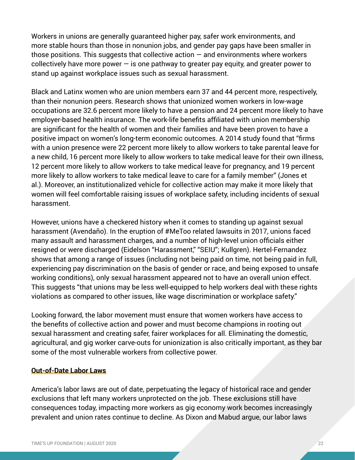Workers in unions are generally guaranteed higher pay, safer work environments, and more stable hours than those in nonunion jobs, and gender pay gaps have been smaller in those positions. This suggests that collective action  $-$  and environments where workers collectively have more power  $-\infty$  is one pathway to greater pay equity, and greater power to stand up against workplace issues such as sexual harassment.

Black and Latinx women who are union members earn 37 and 44 percent more, respectively, than their nonunion peers. Research shows that unionized women workers in low-wage occupations are 32.6 percent more likely to have a pension and 24 percent more likely to have employer-based health insurance. The work-life benefits affiliated with union membership are significant for the health of women and their families and have been proven to have a positive impact on women's long-term economic outcomes. A 2014 study found that "firms with a union presence were 22 percent more likely to allow workers to take parental leave for a new child, 16 percent more likely to allow workers to take medical leave for their own illness, 12 percent more likely to allow workers to take medical leave for pregnancy, and 19 percent more likely to allow workers to take medical leave to care for a family member" (Jones et al.). Moreover, an institutionalized vehicle for collective action may make it more likely that women will feel comfortable raising issues of workplace safety, including incidents of sexual harassment.

However, unions have a checkered history when it comes to standing up against sexual harassment (Avendaño). In the eruption of #MeToo related lawsuits in 2017, unions faced many assault and harassment charges, and a number of high-level union officials either resigned or were discharged (Eidelson "Harassment," "SEIU"; Kullgren). Hertel-Fernandez shows that among a range of issues (including not being paid on time, not being paid in full, experiencing pay discrimination on the basis of gender or race, and being exposed to unsafe working conditions), only sexual harassment appeared not to have an overall union effect. This suggests "that unions may be less well-equipped to help workers deal with these rights violations as compared to other issues, like wage discrimination or workplace safety."

Looking forward, the labor movement must ensure that women workers have access to the benefits of collective action and power and must become champions in rooting out sexual harassment and creating safer, fairer workplaces for all. Eliminating the domestic, agricultural, and gig worker carve-outs for unionization is also critically important, as they bar some of the most vulnerable workers from collective power.

#### **Out-of-Date Labor Laws**

America's labor laws are out of date, perpetuating the legacy of historical race and gender exclusions that left many workers unprotected on the job. These exclusions still have consequences today, impacting more workers as gig economy work becomes increasingly prevalent and union rates continue to decline. As Dixon and Mabud argue, our labor laws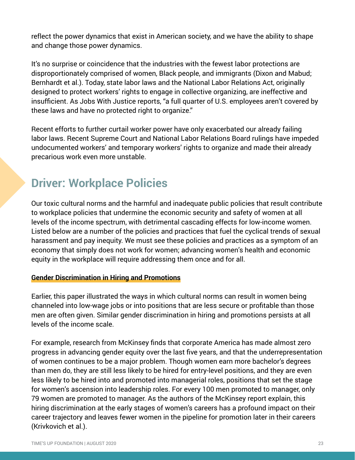reflect the power dynamics that exist in American society, and we have the ability to shape and change those power dynamics.

It's no surprise or coincidence that the industries with the fewest labor protections are disproportionately comprised of women, Black people, and immigrants (Dixon and Mabud; Bernhardt et al.). Today, state labor laws and the National Labor Relations Act, originally designed to protect workers' rights to engage in collective organizing, are ineffective and insufficient. As Jobs With Justice reports, "a full quarter of U.S. employees aren't covered by these laws and have no protected right to organize."

Recent efforts to further curtail worker power have only exacerbated our already failing labor laws. Recent Supreme Court and National Labor Relations Board rulings have impeded undocumented workers' and temporary workers' rights to organize and made their already precarious work even more unstable.

### **Driver: Workplace Policies**

Our toxic cultural norms and the harmful and inadequate public policies that result contribute to workplace policies that undermine the economic security and safety of women at all levels of the income spectrum, with detrimental cascading effects for low-income women. Listed below are a number of the policies and practices that fuel the cyclical trends of sexual harassment and pay inequity. We must see these policies and practices as a symptom of an economy that simply does not work for women; advancing women's health and economic equity in the workplace will require addressing them once and for all.

#### **Gender Discrimination in Hiring and Promotions**

Earlier, this paper illustrated the ways in which cultural norms can result in women being channeled into low-wage jobs or into positions that are less secure or profitable than those men are often given. Similar gender discrimination in hiring and promotions persists at all levels of the income scale.

For example, research from McKinsey finds that corporate America has made almost zero progress in advancing gender equity over the last five years, and that the underrepresentation of women continues to be a major problem. Though women earn more bachelor's degrees than men do, they are still less likely to be hired for entry-level positions, and they are even less likely to be hired into and promoted into managerial roles, positions that set the stage for women's ascension into leadership roles. For every 100 men promoted to manager, only 79 women are promoted to manager. As the authors of the McKinsey report explain, this hiring discrimination at the early stages of women's careers has a profound impact on their career trajectory and leaves fewer women in the pipeline for promotion later in their careers (Krivkovich et al.).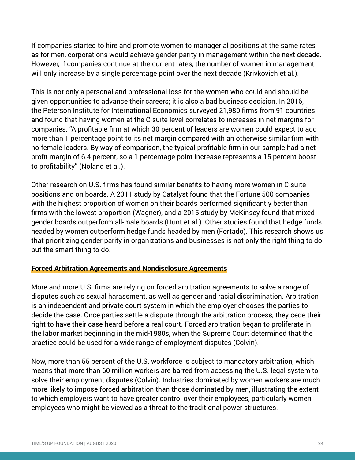If companies started to hire and promote women to managerial positions at the same rates as for men, corporations would achieve gender parity in management within the next decade. However, if companies continue at the current rates, the number of women in management will only increase by a single percentage point over the next decade (Krivkovich et al.).

This is not only a personal and professional loss for the women who could and should be given opportunities to advance their careers; it is also a bad business decision. In 2016, the Peterson Institute for International Economics surveyed 21,980 firms from 91 countries and found that having women at the C-suite level correlates to increases in net margins for companies. "A profitable firm at which 30 percent of leaders are women could expect to add more than 1 percentage point to its net margin compared with an otherwise similar firm with no female leaders. By way of comparison, the typical profitable firm in our sample had a net profit margin of 6.4 percent, so a 1 percentage point increase represents a 15 percent boost to profitability" (Noland et al.).

Other research on U.S. firms has found similar benefits to having more women in C-suite positions and on boards. A 2011 study by Catalyst found that the Fortune 500 companies with the highest proportion of women on their boards performed significantly better than firms with the lowest proportion (Wagner), and a 2015 study by McKinsey found that mixedgender boards outperform all-male boards (Hunt et al.). Other studies found that hedge funds headed by women outperform hedge funds headed by men (Fortado). This research shows us that prioritizing gender parity in organizations and businesses is not only the right thing to do but the smart thing to do.

#### **Forced Arbitration Agreements and Nondisclosure Agreements**

More and more U.S. firms are relying on forced arbitration agreements to solve a range of disputes such as sexual harassment, as well as gender and racial discrimination. Arbitration is an independent and private court system in which the employer chooses the parties to decide the case. Once parties settle a dispute through the arbitration process, they cede their right to have their case heard before a real court. Forced arbitration began to proliferate in the labor market beginning in the mid-1980s, when the Supreme Court determined that the practice could be used for a wide range of employment disputes (Colvin).

Now, more than 55 percent of the U.S. workforce is subject to mandatory arbitration, which means that more than 60 million workers are barred from accessing the U.S. legal system to solve their employment disputes (Colvin). Industries dominated by women workers are much more likely to impose forced arbitration than those dominated by men, illustrating the extent to which employers want to have greater control over their employees, particularly women employees who might be viewed as a threat to the traditional power structures.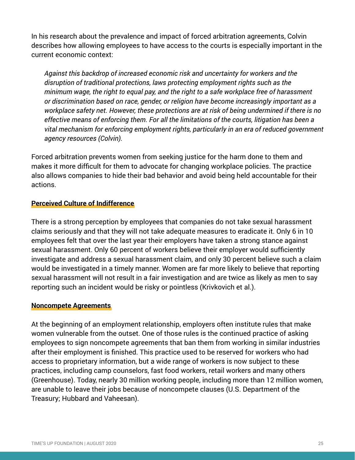In his research about the prevalence and impact of forced arbitration agreements, Colvin describes how allowing employees to have access to the courts is especially important in the current economic context:

*Against this backdrop of increased economic risk and uncertainty for workers and the disruption of traditional protections, laws protecting employment rights such as the minimum wage, the right to equal pay, and the right to a safe workplace free of harassment or discrimination based on race, gender, or religion have become increasingly important as a workplace safety net. However, these protections are at risk of being undermined if there is no effective means of enforcing them. For all the limitations of the courts, litigation has been a vital mechanism for enforcing employment rights, particularly in an era of reduced government agency resources (Colvin).* 

Forced arbitration prevents women from seeking justice for the harm done to them and makes it more difficult for them to advocate for changing workplace policies. The practice also allows companies to hide their bad behavior and avoid being held accountable for their actions.

#### **Perceived Culture of Indifference**

There is a strong perception by employees that companies do not take sexual harassment claims seriously and that they will not take adequate measures to eradicate it. Only 6 in 10 employees felt that over the last year their employers have taken a strong stance against sexual harassment. Only 60 percent of workers believe their employer would sufficiently investigate and address a sexual harassment claim, and only 30 percent believe such a claim would be investigated in a timely manner. Women are far more likely to believe that reporting sexual harassment will not result in a fair investigation and are twice as likely as men to say reporting such an incident would be risky or pointless (Krivkovich et al.).

#### **Noncompete Agreements**

At the beginning of an employment relationship, employers often institute rules that make women vulnerable from the outset. One of those rules is the continued practice of asking employees to sign noncompete agreements that ban them from working in similar industries after their employment is finished. This practice used to be reserved for workers who had access to proprietary information, but a wide range of workers is now subject to these practices, including camp counselors, fast food workers, retail workers and many others (Greenhouse). Today, nearly 30 million working people, including more than 12 million women, are unable to leave their jobs because of noncompete clauses (U.S. Department of the Treasury; Hubbard and Vaheesan).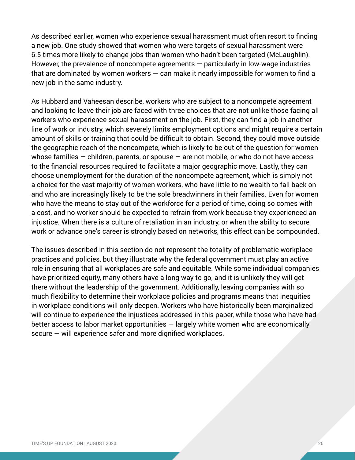As described earlier, women who experience sexual harassment must often resort to finding a new job. One study showed that women who were targets of sexual harassment were 6.5 times more likely to change jobs than women who hadn't been targeted (McLaughlin). However, the prevalence of noncompete agreements  $-$  particularly in low-wage industries that are dominated by women workers  $-$  can make it nearly impossible for women to find a new job in the same industry.

As Hubbard and Vaheesan describe, workers who are subject to a noncompete agreement and looking to leave their job are faced with three choices that are not unlike those facing all workers who experience sexual harassment on the job. First, they can find a job in another line of work or industry, which severely limits employment options and might require a certain amount of skills or training that could be difficult to obtain. Second, they could move outside the geographic reach of the noncompete, which is likely to be out of the question for women whose families  $-$  children, parents, or spouse  $-$  are not mobile, or who do not have access to the financial resources required to facilitate a major geographic move. Lastly, they can choose unemployment for the duration of the noncompete agreement, which is simply not a choice for the vast majority of women workers, who have little to no wealth to fall back on and who are increasingly likely to be the sole breadwinners in their families. Even for women who have the means to stay out of the workforce for a period of time, doing so comes with a cost, and no worker should be expected to refrain from work because they experienced an injustice. When there is a culture of retaliation in an industry, or when the ability to secure work or advance one's career is strongly based on networks, this effect can be compounded.

The issues described in this section do not represent the totality of problematic workplace practices and policies, but they illustrate why the federal government must play an active role in ensuring that all workplaces are safe and equitable. While some individual companies have prioritized equity, many others have a long way to go, and it is unlikely they will get there without the leadership of the government. Additionally, leaving companies with so much flexibility to determine their workplace policies and programs means that inequities in workplace conditions will only deepen. Workers who have historically been marginalized will continue to experience the injustices addressed in this paper, while those who have had better access to labor market opportunities — largely white women who are economically secure — will experience safer and more dignified workplaces.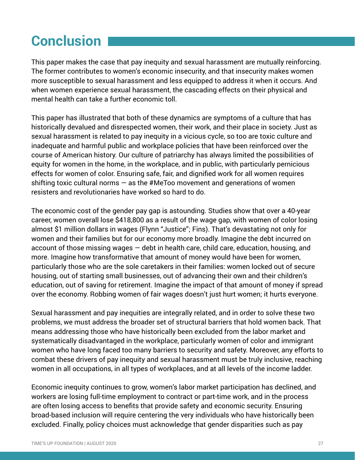## **Conclusion**

This paper makes the case that pay inequity and sexual harassment are mutually reinforcing. The former contributes to women's economic insecurity, and that insecurity makes women more susceptible to sexual harassment and less equipped to address it when it occurs. And when women experience sexual harassment, the cascading effects on their physical and mental health can take a further economic toll.

This paper has illustrated that both of these dynamics are symptoms of a culture that has historically devalued and disrespected women, their work, and their place in society. Just as sexual harassment is related to pay inequity in a vicious cycle, so too are toxic culture and inadequate and harmful public and workplace policies that have been reinforced over the course of American history. Our culture of patriarchy has always limited the possibilities of equity for women in the home, in the workplace, and in public, with particularly pernicious effects for women of color. Ensuring safe, fair, and dignified work for all women requires shifting toxic cultural norms  $-$  as the #MeToo movement and generations of women resisters and revolutionaries have worked so hard to do.

The economic cost of the gender pay gap is astounding. Studies show that over a 40-year career, women overall lose \$418,800 as a result of the wage gap, with women of color losing almost \$1 million dollars in wages (Flynn "Justice"; Fins). That's devastating not only for women and their families but for our economy more broadly. Imagine the debt incurred on account of those missing wages — debt in health care, child care, education, housing, and more. Imagine how transformative that amount of money would have been for women, particularly those who are the sole caretakers in their families: women locked out of secure housing, out of starting small businesses, out of advancing their own and their children's education, out of saving for retirement. Imagine the impact of that amount of money if spread over the economy. Robbing women of fair wages doesn't just hurt women; it hurts everyone.

Sexual harassment and pay inequities are integrally related, and in order to solve these two problems, we must address the broader set of structural barriers that hold women back. That means addressing those who have historically been excluded from the labor market and systematically disadvantaged in the workplace, particularly women of color and immigrant women who have long faced too many barriers to security and safety. Moreover, any efforts to combat these drivers of pay inequity and sexual harassment must be truly inclusive, reaching women in all occupations, in all types of workplaces, and at all levels of the income ladder.

Economic inequity continues to grow, women's labor market participation has declined, and workers are losing full-time employment to contract or part-time work, and in the process are often losing access to benefits that provide safety and economic security. Ensuring broad-based inclusion will require centering the very individuals who have historically been excluded. Finally, policy choices must acknowledge that gender disparities such as pay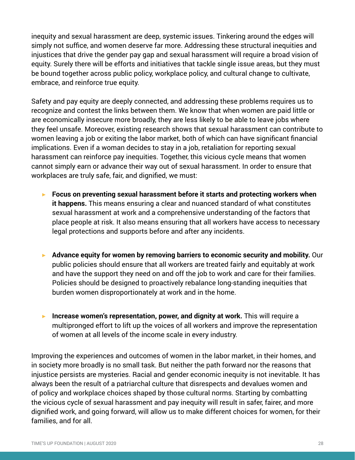inequity and sexual harassment are deep, systemic issues. Tinkering around the edges will simply not suffice, and women deserve far more. Addressing these structural inequities and injustices that drive the gender pay gap and sexual harassment will require a broad vision of equity. Surely there will be efforts and initiatives that tackle single issue areas, but they must be bound together across public policy, workplace policy, and cultural change to cultivate, embrace, and reinforce true equity.

Safety and pay equity are deeply connected, and addressing these problems requires us to recognize and contest the links between them. We know that when women are paid little or are economically insecure more broadly, they are less likely to be able to leave jobs where they feel unsafe. Moreover, existing research shows that sexual harassment can contribute to women leaving a job or exiting the labor market, both of which can have significant financial implications. Even if a woman decides to stay in a job, retaliation for reporting sexual harassment can reinforce pay inequities. Together, this vicious cycle means that women cannot simply earn or advance their way out of sexual harassment. In order to ensure that workplaces are truly safe, fair, and dignified, we must:

- ▶ Focus on preventing sexual harassment before it starts and protecting workers when **it happens.** This means ensuring a clear and nuanced standard of what constitutes sexual harassment at work and a comprehensive understanding of the factors that place people at risk. It also means ensuring that all workers have access to necessary legal protections and supports before and after any incidents.
- ▶ **Advance equity for women by removing barriers to economic security and mobility.** Our public policies should ensure that all workers are treated fairly and equitably at work and have the support they need on and off the job to work and care for their families. Policies should be designed to proactively rebalance long-standing inequities that burden women disproportionately at work and in the home.
- ▶ Increase women's representation, power, and dignity at work. This will require a multipronged effort to lift up the voices of all workers and improve the representation of women at all levels of the income scale in every industry.

Improving the experiences and outcomes of women in the labor market, in their homes, and in society more broadly is no small task. But neither the path forward nor the reasons that injustice persists are mysteries. Racial and gender economic inequity is not inevitable. It has always been the result of a patriarchal culture that disrespects and devalues women and of policy and workplace choices shaped by those cultural norms. Starting by combatting the vicious cycle of sexual harassment and pay inequity will result in safer, fairer, and more dignified work, and going forward, will allow us to make different choices for women, for their families, and for all.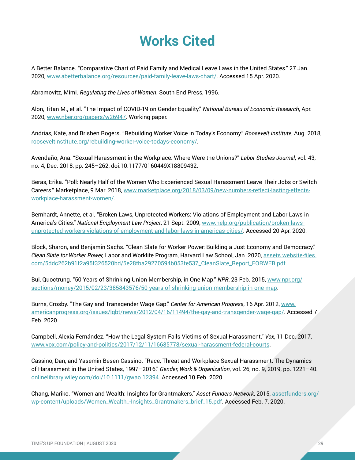### **Works Cited**

A Better Balance. "Comparative Chart of Paid Family and Medical Leave Laws in the United States." 27 Jan. 2020, [www.abetterbalance.org/resources/paid-family-leave-laws-chart/](http://www.abetterbalance.org/resources/paid-family-leave-laws-chart/). Accessed 15 Apr. 2020.

Abramovitz, Mimi. *Regulating the Lives of Women*. South End Press, 1996.

Alon, Titan M., et al. "The Impact of COVID-19 on Gender Equality." *National Bureau of Economic Research*, Apr. 2020, [www.nber.org/papers/w26947](http://www.nber.org/papers/w26947). Working paper.

Andrias, Kate, and Brishen Rogers. "Rebuilding Worker Voice in Today's Economy." *Roosevelt Institute*, Aug. 2018, [rooseveltinstitute.org/rebuilding-worker-voice-todays-economy/](http://rooseveltinstitute.org/rebuilding-worker-voice-todays-economy/).

Avendaño, Ana. "Sexual Harassment in the Workplace: Where Were the Unions?" *Labor Studies Journal*, vol. 43, no. 4, Dec. 2018, pp. 245–262, doi:10.1177/0160449X18809432.

Beras, Erika. "Poll: Nearly Half of the Women Who Experienced Sexual Harassment Leave Their Jobs or Switch Careers." Marketplace, 9 Mar. 2018, [www.marketplace.org/2018/03/09/new-numbers-reflect-lasting-effects](http://www.marketplace.org/2018/03/09/new-numbers-reflect-lasting-effects-workplace-harassment-women/)[workplace-harassment-women/](http://www.marketplace.org/2018/03/09/new-numbers-reflect-lasting-effects-workplace-harassment-women/).

Bernhardt, Annette, et al. "Broken Laws, Unprotected Workers: Violations of Employment and Labor Laws in America's Cities." *National Employment Law Project*, 21 Sept. 2009, [www.nelp.org/publication/broken-laws](http://www.nelp.org/publication/broken-laws-unprotected-workers-violations-of-employment-and-labor-laws-in-americas-cities/)[unprotected-workers-violations-of-employment-and-labor-laws-in-americas-cities/](http://www.nelp.org/publication/broken-laws-unprotected-workers-violations-of-employment-and-labor-laws-in-americas-cities/). Accessed 20 Apr. 2020.

Block, Sharon, and Benjamin Sachs. "Clean Slate for Worker Power: Building a Just Economy and Democracy." *Clean Slate for Worker Power,* Labor and Worklife Program, Harvard Law School, Jan. 2020, [assets.website-files.](http://assets.website-files.com/5ddc262b91f2a95f326520bd/5e28fba29270594b053fe537_CleanSlate_Report_FORWEB.pdf) [com/5ddc262b91f2a95f326520bd/5e28fba29270594b053fe537\\_CleanSlate\\_Report\\_FORWEB.pdf.](http://assets.website-files.com/5ddc262b91f2a95f326520bd/5e28fba29270594b053fe537_CleanSlate_Report_FORWEB.pdf)

Bui, Quoctrung. "50 Years of Shrinking Union Membership, in One Map." *NPR*, 23 Feb. 2015, [www.npr.org/](http://www.npr.org/sections/money/2015/02/23/385843576/50-years-of-shrinking-union-membership-in-one-map) [sections/money/2015/02/23/385843576/50-years-of-shrinking-union-membership-in-one-map.](http://www.npr.org/sections/money/2015/02/23/385843576/50-years-of-shrinking-union-membership-in-one-map)

Burns, Crosby. "The Gay and Transgender Wage Gap." *Center for American Progress*, 16 Apr. 2012, [www.](http://www.americanprogress.org/issues/lgbt/news/2012/04/16/11494/the-gay-and-transgender-wage-gap/) [americanprogress.org/issues/lgbt/news/2012/04/16/11494/the-gay-and-transgender-wage-gap/](http://www.americanprogress.org/issues/lgbt/news/2012/04/16/11494/the-gay-and-transgender-wage-gap/). Accessed 7 Feb. 2020.

Campbell, Alexia Fernández. "How the Legal System Fails Victims of Sexual Harassment." *Vox*, 11 Dec. 2017, [www.vox.com/policy-and-politics/2017/12/11/16685778/sexual-harassment-federal-courts.](http://www.vox.com/policy-and-politics/2017/12/11/16685778/sexual-harassment-federal-courts)

Cassino, Dan, and Yasemin Besen-Cassino. "Race, Threat and Workplace Sexual Harassment: The Dynamics of Harassment in the United States, 1997–2016." *Gender, Work & Organization*, vol. 26, no. 9, 2019, pp. 1221–40. [onlinelibrary.wiley.com/doi/10.1111/gwao.12394.](http://onlinelibrary.wiley.com/doi/10.1111/gwao.12394) Accessed 10 Feb. 2020.

Chang, Mariko. "Women and Wealth: Insights for Grantmakers." *Asset Funders Network*, 2015, [assetfunders.org/](http://assetfunders.org/wp-content/uploads/Women_Wealth_-Insights_Grantmakers_brief_15.pdf) [wp-content/uploads/Women\\_Wealth\\_-Insights\\_Grantmakers\\_brief\\_15.pdf](http://assetfunders.org/wp-content/uploads/Women_Wealth_-Insights_Grantmakers_brief_15.pdf). Accessed Feb. 7, 2020.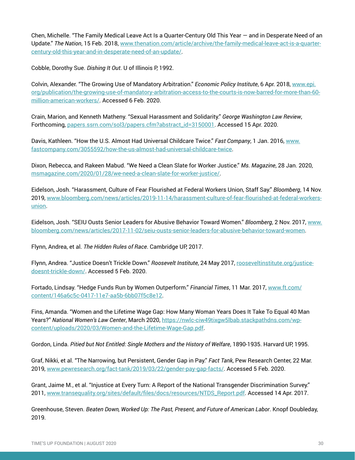Chen, Michelle. "The Family Medical Leave Act Is a Quarter-Century Old This Year — and in Desperate Need of an Update." *The Nation*, 15 Feb. 2018, [www.thenation.com/article/archive/the-family-medical-leave-act-is-a-quarter](http://www.thenation.com/article/archive/the-family-medical-leave-act-is-a-quarter-century-old-this-year-and-in-desperate-need-of-an-update/)[century-old-this-year-and-in-desperate-need-of-an-update/.](http://www.thenation.com/article/archive/the-family-medical-leave-act-is-a-quarter-century-old-this-year-and-in-desperate-need-of-an-update/)

Cobble, Dorothy Sue. *Dishing It Out*. U of Illinois P, 1992.

Colvin, Alexander. "The Growing Use of Mandatory Arbitration." *Economic Policy Institute*, 6 Apr. 2018, [www.epi.](http://www.epi.org/publication/the-growing-use-of-mandatory-arbitration-access-to-the-courts-is-now-barred-for-more-than-60-million-american-workers/) [org/publication/the-growing-use-of-mandatory-arbitration-access-to-the-courts-is-now-barred-for-more-than-60](http://www.epi.org/publication/the-growing-use-of-mandatory-arbitration-access-to-the-courts-is-now-barred-for-more-than-60-million-american-workers/) [million-american-workers/](http://www.epi.org/publication/the-growing-use-of-mandatory-arbitration-access-to-the-courts-is-now-barred-for-more-than-60-million-american-workers/). Accessed 6 Feb. 2020.

Crain, Marion, and Kenneth Matheny. "Sexual Harassment and Solidarity." *George Washington Law Review*, Forthcoming, [papers.ssrn.com/sol3/papers.cfm?abstract\\_id=3150001](http://papers.ssrn.com/sol3/papers.cfm?abstract_id=3150001). Accessed 15 Apr. 2020.

Davis, Kathleen. "How the U.S. Almost Had Universal Childcare Twice." *Fast Company*, 1 Jan. 2016, [www.](http://www.fastcompany.com/3055592/how-the-us-almost-had-universal-childcare-twice) [fastcompany.com/3055592/how-the-us-almost-had-universal-childcare-twice](http://www.fastcompany.com/3055592/how-the-us-almost-had-universal-childcare-twice).

Dixon, Rebecca, and Rakeen Mabud. "We Need a Clean Slate for Worker Justice." *Ms. Magazine*, 28 Jan. 2020, [msmagazine.com/2020/01/28/we-need-a-clean-slate-for-worker-justice/.](http://msmagazine.com/2020/01/28/we-need-a-clean-slate-for-worker-justice/)

Eidelson, Josh. "Harassment, Culture of Fear Flourished at Federal Workers Union, Staff Say." *Bloomberg*, 14 Nov. 2019, [www.bloomberg.com/news/articles/2019-11-14/harassment-culture-of-fear-flourished-at-federal-workers](http://www.bloomberg.com/news/articles/2019-11-14/harassment-culture-of-fear-flourished-at-federal-workers-union)[union](http://www.bloomberg.com/news/articles/2019-11-14/harassment-culture-of-fear-flourished-at-federal-workers-union).

Eidelson, Josh. "SEIU Ousts Senior Leaders for Abusive Behavior Toward Women." *Bloomberg*, 2 Nov. 2017, [www.](http://www.bloomberg.com/news/articles/2017-11-02/seiu-ousts-senior-leaders-for-abusive-behavior-toward-women) [bloomberg.com/news/articles/2017-11-02/seiu-ousts-senior-leaders-for-abusive-behavior-toward-women.](http://www.bloomberg.com/news/articles/2017-11-02/seiu-ousts-senior-leaders-for-abusive-behavior-toward-women)

Flynn, Andrea, et al. *The Hidden Rules of Race*. Cambridge UP, 2017.

Flynn, Andrea. "Justice Doesn't Trickle Down." *Roosevelt Institute*, 24 May 2017, [rooseveltinstitute.org/justice](http://rooseveltinstitute.org/justice-doesnt-trickle-down/)[doesnt-trickle-down/.](http://rooseveltinstitute.org/justice-doesnt-trickle-down/) Accessed 5 Feb. 2020.

Fortado, Lindsay. "Hedge Funds Run by Women Outperform." *Financial Times*, 11 Mar. 2017, [www.ft.com/](http://www.ft.com/content/146a6c5c-0417-11e7-aa5b-6bb07f5c8e12) [content/146a6c5c-0417-11e7-aa5b-6bb07f5c8e12.](http://www.ft.com/content/146a6c5c-0417-11e7-aa5b-6bb07f5c8e12)

Fins, Amanda. "Women and the Lifetime Wage Gap: How Many Woman Years Does It Take To Equal 40 Man Years?" *National Women's Law Center*, March 2020, [https://nwlc-ciw49tixgw5lbab.stackpathdns.com/wp](https://nwlc-ciw49tixgw5lbab.stackpathdns.com/wp-content/uploads/2020/03/Women-and-the-Lifetime-Wage-Gap.pdf)[content/uploads/2020/03/Women-and-the-Lifetime-Wage-Gap.pdf](https://nwlc-ciw49tixgw5lbab.stackpathdns.com/wp-content/uploads/2020/03/Women-and-the-Lifetime-Wage-Gap.pdf).

Gordon, Linda. *Pitied but Not Entitled: Single Mothers and the History of Welfare*, 1890-1935. Harvard UP, 1995.

Graf, Nikki, et al. "The Narrowing, but Persistent, Gender Gap in Pay." *Fact Tank*, Pew Research Center, 22 Mar. 2019, [www.pewresearch.org/fact-tank/2019/03/22/gender-pay-gap-facts/](http://www.pewresearch.org/fact-tank/2019/03/22/gender-pay-gap-facts/). Accessed 5 Feb. 2020.

Grant, Jaime M., et al. "Injustice at Every Turn: A Report of the National Transgender Discrimination Survey." 2011, [www.transequality.org/sites/default/files/docs/resources/NTDS\\_Report.pdf](http://www.transequality.org/sites/default/files/docs/resources/NTDS_Report.pdf). Accessed 14 Apr. 2017.

Greenhouse, Steven. *Beaten Down, Worked Up: The Past, Present, and Future of American Labor*. Knopf Doubleday, 2019.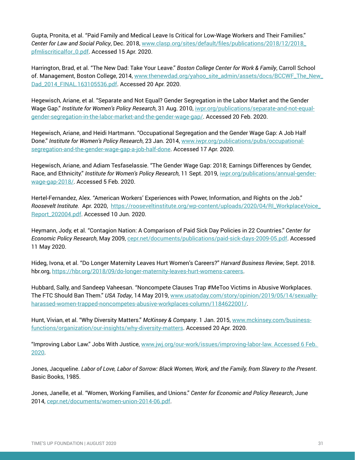Gupta, Pronita, et al. "Paid Family and Medical Leave Is Critical for Low-Wage Workers and Their Families." *Center for Law and Social Policy*, Dec. 2018, [www.clasp.org/sites/default/files/publications/2018/12/2018\\_](http://www.clasp.org/sites/default/files/publications/2018/12/2018_pfmliscriticalfor_0.pdf) [pfmliscriticalfor\\_0.pdf.](http://www.clasp.org/sites/default/files/publications/2018/12/2018_pfmliscriticalfor_0.pdf) Accessed 15 Apr. 2020.

Harrington, Brad, et al. "The New Dad: Take Your Leave." *Boston College Center for Work & Family*, Carroll School of. Management, Boston College, 2014, [www.thenewdad.org/yahoo\\_site\\_admin/assets/docs/BCCWF\\_The\\_New\\_](http://www.thenewdad.org/yahoo_site_admin/assets/docs/BCCWF_The_New_Dad_2014_FINAL.163105536.pdf) [Dad\\_2014\\_FINAL.163105536.pdf.](http://www.thenewdad.org/yahoo_site_admin/assets/docs/BCCWF_The_New_Dad_2014_FINAL.163105536.pdf) Accessed 20 Apr. 2020.

Hegewisch, Ariane, et al. "Separate and Not Equal? Gender Segregation in the Labor Market and the Gender Wage Gap." *Institute for Women's Policy Research*, 31 Aug. 2010, [iwpr.org/publications/separate-and-not-equal](http://iwpr.org/publications/separate-and-not-equal-gender-segregation-in-the-labor-market-and-the-gender-wage-gap/)[gender-segregation-in-the-labor-market-and-the-gender-wage-gap/](http://iwpr.org/publications/separate-and-not-equal-gender-segregation-in-the-labor-market-and-the-gender-wage-gap/). Accessed 20 Feb. 2020.

Hegewisch, Ariane, and Heidi Hartmann. "Occupational Segregation and the Gender Wage Gap: A Job Half Done." *Institute for Women's Policy Research*, 23 Jan. 2014, [www.iwpr.org/publications/pubs/occupational](http://www.iwpr.org/publications/pubs/occupational-segregation-and-the-gender-wage-gap-a-job-half-done)[segregation-and-the-gender-wage-gap-a-job-half-done](http://www.iwpr.org/publications/pubs/occupational-segregation-and-the-gender-wage-gap-a-job-half-done). Accessed 17 Apr. 2020.

Hegewisch, Ariane, and Adiam Tesfaselassie. "The Gender Wage Gap: 2018; Earnings Differences by Gender, Race, and Ethnicity." *Institute for Women's Policy Research*, 11 Sept. 2019, [iwpr.org/publications/annual-gender](http://iwpr.org/publications/annual-gender-wage-gap-2018/)[wage-gap-2018/](http://iwpr.org/publications/annual-gender-wage-gap-2018/). Accessed 5 Feb. 2020.

Hertel-Fernandez, Alex. "American Workers' Experiences with Power, Information, and Rights on the Job." *Roosevelt Institute.* Apr. 2020, [https://rooseveltinstitute.org/wp-content/uploads/2020/04/RI\\_WorkplaceVoice\\_](https://rooseveltinstitute.org/wp-content/uploads/2020/04/RI_WorkplaceVoice_Report_202004.pdf) [Report\\_202004.pdf](https://rooseveltinstitute.org/wp-content/uploads/2020/04/RI_WorkplaceVoice_Report_202004.pdf). Accessed 10 Jun. 2020.

Heymann, Jody, et al. "Contagion Nation: A Comparison of Paid Sick Day Policies in 22 Countries." *Center for Economic Policy Research*, May 2009, [cepr.net/documents/publications/paid-sick-days-2009-05.pdf.](http://cepr.net/documents/publications/paid-sick-days-2009-05.pdf) Accessed 11 May 2020.

Hideg, Ivona, et al. "Do Longer Maternity Leaves Hurt Women's Careers?" *Harvard Business Review*, Sept. 2018. hbr.org, [https://hbr.org/2018/09/do-longer-maternity-leaves-hurt-womens-careers.](https://hbr.org/2018/09/do-longer-maternity-leaves-hurt-womens-careers)

Hubbard, Sally, and Sandeep Vaheesan. "Noncompete Clauses Trap #MeToo Victims in Abusive Workplaces. The FTC Should Ban Them." *USA Today*, 14 May 2019, [www.usatoday.com/story/opinion/2019/05/14/sexually](http://www.usatoday.com/story/opinion/2019/05/14/sexually-harassed-women-trapped-noncompetes-abusive-workplaces-column/1184622001/)[harassed-women-trapped-noncompetes-abusive-workplaces-column/1184622001/.](http://www.usatoday.com/story/opinion/2019/05/14/sexually-harassed-women-trapped-noncompetes-abusive-workplaces-column/1184622001/)

Hunt, Vivian, et al. "Why Diversity Matters." *McKinsey & Company*. 1 Jan. 2015, [www.mckinsey.com/business](http://www.mckinsey.com/business-functions/organization/our-insights/why-diversity-matters)[functions/organization/our-insights/why-diversity-matters.](http://www.mckinsey.com/business-functions/organization/our-insights/why-diversity-matters) Accessed 20 Apr. 2020.

"Improving Labor Law." Jobs With Justice, [www.jwj.org/our-work/issues/improving-labor-law. Accessed 6 Feb.](http://www.jwj.org/our-work/issues/improving-labor-law. Accessed 6 Feb. 2020)  [2020.](http://www.jwj.org/our-work/issues/improving-labor-law. Accessed 6 Feb. 2020)

Jones, Jacqueline. *Labor of Love, Labor of Sorrow: Black Women, Work, and the Family, from Slavery to the Present*. Basic Books, 1985.

Jones, Janelle, et al. "Women, Working Families, and Unions." *Center for Economic and Policy Research*, June 2014, [cepr.net/documents/women-union-2014-06.pdf.](http://cepr.net/documents/women-union-2014-06.pdf)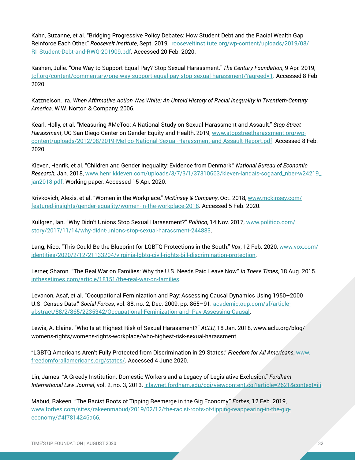<span id="page-32-0"></span>Kahn, Suzanne, et al. "Bridging Progressive Policy Debates: How Student Debt and the Racial Wealth Gap Reinforce Each Other." *Roosevelt Institute*, Sept. 2019, [rooseveltinstitute.org/wp-content/uploads/2019/08/](http://rooseveltinstitute.org/wp-content/uploads/2019/08/RI_Student-Debt-and-RWG-201909.pdf) [RI\\_Student-Debt-and-RWG-201909.pdf.](http://rooseveltinstitute.org/wp-content/uploads/2019/08/RI_Student-Debt-and-RWG-201909.pdf) Accessed 20 Feb. 2020.

Kashen, Julie. "One Way to Support Equal Pay? Stop Sexual Harassment." *The Century Foundation*, 9 Apr. 2019, [tcf.org/content/commentary/one-way-support-equal-pay-stop-sexual-harassment/?agreed=1](http://tcf.org/content/commentary/one-way-support-equal-pay-stop-sexual-harassment/?agreed=1). Accessed 8 Feb. 2020.

Katznelson, Ira. *When Affirmative Action Was White: An Untold History of Racial Inequality in Twentieth-Century America*. W.W. Norton & Company, 2006.

Kearl, Holly, et al. "Measuring #MeToo: A National Study on Sexual Harassment and Assault." *Stop Street Harassment*, UC San Diego Center on Gender Equity and Health, 2019, [www.stopstreetharassment.org/wp](http://ww.stopstreetharassment.org/wp-content/uploads/2012/08/2019-MeToo-National-Sexual-Harassment-and-Assault-Report.pdf)[content/uploads/2012/08/2019-MeToo-National-Sexual-Harassment-and-Assault-Report.pdf.](http://ww.stopstreetharassment.org/wp-content/uploads/2012/08/2019-MeToo-National-Sexual-Harassment-and-Assault-Report.pdf) Accessed 8 Feb. 2020.

Kleven, Henrik, et al. "Children and Gender Inequality: Evidence from Denmark." *National Bureau of Economic Research*, Jan. 2018, [www.henrikkleven.com/uploads/3/7/3/1/37310663/kleven-landais-sogaard\\_nber-w24219\\_](http://www.henrikkleven.com/uploads/3/7/3/1/37310663/kleven-landais-sogaard_nber-w24219_jan2018.pdf) [jan2018.pdf.](http://www.henrikkleven.com/uploads/3/7/3/1/37310663/kleven-landais-sogaard_nber-w24219_jan2018.pdf) Working paper. Accessed 15 Apr. 2020.

Krivkovich, Alexis, et al. "Women in the Workplace." *McKinsey & Company*, Oct. 2018, [www.mckinsey.com/](http://www.mckinsey.com/featured-insights/gender-equality/women-in-the-workplace-2018) [featured-insights/gender-equality/women-in-the-workplace-2018](http://www.mckinsey.com/featured-insights/gender-equality/women-in-the-workplace-2018). Accessed 5 Feb. 2020.

Kullgren, Ian. "Why Didn't Unions Stop Sexual Harassment?" *Politico*, 14 Nov. 2017, [www.politico.com/](http://www.politico.com/story/2017/11/14/why-didnt-unions-stop-sexual-harassment-244883) [story/2017/11/14/why-didnt-unions-stop-sexual-harassment-244883.](http://www.politico.com/story/2017/11/14/why-didnt-unions-stop-sexual-harassment-244883)

Lang, Nico. "This Could Be the Blueprint for LGBTQ Protections in the South." *Vox*, 12 Feb. 2020, [www.vox.com/](http://www.vox.com/identities/2020/2/12/21133204/virginia-lgbtq-civil-rights-bill-discrimination-protection) [identities/2020/2/12/21133204/virginia-lgbtq-civil-rights-bill-discrimination-protection.](http://www.vox.com/identities/2020/2/12/21133204/virginia-lgbtq-civil-rights-bill-discrimination-protection)

Lerner, Sharon. "The Real War on Families: Why the U.S. Needs Paid Leave Now." *In These Times*, 18 Aug. 2015. [inthesetimes.com/article/18151/the-real-war-on-families](http://inthesetimes.com/article/18151/the-real-war-on-families).

Levanon, Asaf, et al. "Occupational Feminization and Pay: Assessing Causal Dynamics Using 1950–2000 U.S. Census Data." *Social Forces*, vol. 88, no. 2, Dec. 2009, pp. 865–91. [academic.oup.com/sf/article](http://academic.oup.com/sf/article-abstract/88/2/865/2235342/Occupational-Feminization-and- Pay-Assessing-Causal)[abstract/88/2/865/2235342/Occupational-Feminization-and- Pay-Assessing-Causal.](http://academic.oup.com/sf/article-abstract/88/2/865/2235342/Occupational-Feminization-and- Pay-Assessing-Causal)

Lewis, A. Elaine. "Who Is at Highest Risk of Sexual Harassment?" *ACLU*, 18 Jan. 2018, www.aclu.org/blog/ womens-rights/womens-rights-workplace/who-highest-risk-sexual-harassment.

"LGBTQ Americans Aren't Fully Protected from Discrimination in 29 States." *Freedom for All Americans*, [www.](http://www.freedomforallamericans.org/states/) [freedomforallamericans.org/states/.](http://www.freedomforallamericans.org/states/) Accessed 4 June 2020.

Lin, James. "A Greedy Institution: Domestic Workers and a Legacy of Legislative Exclusion." *Fordham International Law Journal*, vol. 2, no. 3, 2013, [ir.lawnet.fordham.edu/cgi/viewcontent.cgi?article=2621&context=ilj](http://ir.lawnet.fordham.edu/cgi/viewcontent.cgi?article=2621&context=ilj).

Mabud, Rakeen. "The Racist Roots of Tipping Reemerge in the Gig Economy." *Forbes*, 12 Feb. 2019, [www.forbes.com/sites/rakeenmabud/2019/02/12/the-racist-roots-of-tipping-reappearing-in-the-gig](http://www.forbes.com/sites/rakeenmabud/2019/02/12/the-racist-roots-of-tipping-reappearing-in-the-gig-economy/#4f7814246a66)[economy/#4f7814246a66](http://www.forbes.com/sites/rakeenmabud/2019/02/12/the-racist-roots-of-tipping-reappearing-in-the-gig-economy/#4f7814246a66).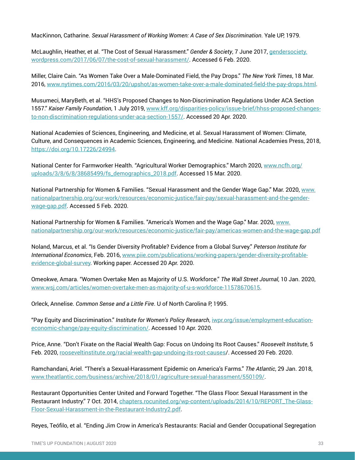MacKinnon, Catharine. *Sexual Harassment of Working Women: A Case of Sex Discrimination*. Yale UP, 1979.

McLaughlin, Heather, et al. "The Cost of Sexual Harassment." *Gender & Society*, 7 June 2017, [gendersociety.](http://gendersociety.wordpress.com/2017/06/07/the-cost-of-sexual-harassment/) [wordpress.com/2017/06/07/the-cost-of-sexual-harassment/](http://gendersociety.wordpress.com/2017/06/07/the-cost-of-sexual-harassment/). Accessed 6 Feb. 2020.

Miller, Claire Cain. "As Women Take Over a Male-Dominated Field, the Pay Drops." *The New York Times*, 18 Mar. 2016, [www.nytimes.com/2016/03/20/upshot/as-women-take-over-a-male-dominated-field-the-pay-drops.html](http://www.nytimes.com/2016/03/20/upshot/as-women-take-over-a-male-dominated-field-the-pay-drops.html).

Musumeci, MaryBeth, et al. "HHS's Proposed Changes to Non-Discrimination Regulations Under ACA Section 1557." *Kaiser Family Foundation*, 1 July 2019, [www.kff.org/disparities-policy/issue-brief/hhss-proposed-changes](http://www.kff.org/disparities-policy/issue-brief/hhss-proposed-changes-to-non-discrimination-regulations-under-aca-section-1557/)[to-non-discrimination-regulations-under-aca-section-1557/](http://www.kff.org/disparities-policy/issue-brief/hhss-proposed-changes-to-non-discrimination-regulations-under-aca-section-1557/). Accessed 20 Apr. 2020.

National Academies of Sciences, Engineering, and Medicine, et al. Sexual Harassment of Women: Climate, Culture, and Consequences in Academic Sciences, Engineering, and Medicine. National Academies Press, 2018, <https://doi.org/10.17226/24994>.

National Center for Farmworker Health. "Agricultural Worker Demographics." March 2020, [www.ncfh.org/](http://www.ncfh.org/uploads/3/8/6/8/38685499/fs_demographics_2018.pdf) [uploads/3/8/6/8/38685499/fs\\_demographics\\_2018.pdf.](http://www.ncfh.org/uploads/3/8/6/8/38685499/fs_demographics_2018.pdf) Accessed 15 Mar. 2020.

National Partnership for Women & Families. "Sexual Harassment and the Gender Wage Gap." Mar. 2020, [www.](http://www.nationalpartnership.org/our-work/resources/economic-justice/fair-pay/sexual-harassment-and-the-gender-wage-gap.pdf) [nationalpartnership.org/our-work/resources/economic-justice/fair-pay/sexual-harassment-and-the-gender](http://www.nationalpartnership.org/our-work/resources/economic-justice/fair-pay/sexual-harassment-and-the-gender-wage-gap.pdf)[wage-gap.pdf](http://www.nationalpartnership.org/our-work/resources/economic-justice/fair-pay/sexual-harassment-and-the-gender-wage-gap.pdf). Accessed 5 Feb. 2020.

National Partnership for Women & Families. "America's Women and the Wage Gap." Mar. 2020, [www.](http://www.nationalpartnership.org/our-work/resources/economic-justice/fair-pay/americas-women-and-the-wage) [nationalpartnership.org/our-work/resources/economic-justice/fair-pay/americas-women-and-the-wage-gap.pdf](http://www.nationalpartnership.org/our-work/resources/economic-justice/fair-pay/americas-women-and-the-wage)

Noland, Marcus, et al. "Is Gender Diversity Profitable? Evidence from a Global Survey." *Peterson Institute for International Economics*, Feb. 2016, [www.piie.com/publications/working-papers/gender-diversity-profitable](http://www.piie.com/publications/working-papers/gender-diversity-profitable-evidence-global-survey)[evidence-global-survey.](http://www.piie.com/publications/working-papers/gender-diversity-profitable-evidence-global-survey) Working paper. Accessed 20 Apr. 2020.

Omeokwe, Amara. "Women Overtake Men as Majority of U.S. Workforce." *The Wall Street Journal*, 10 Jan. 2020, [www.wsj.com/articles/women-overtake-men-as-majority-of-u-s-workforce-11578670615.](http://www.wsj.com/articles/women-overtake-men-as-majority-of-u-s-workforce-11578670615)

Orleck, Annelise. *Common Sense and a Little Fire*. U of North Carolina P, 1995.

"Pay Equity and Discrimination." *Institute for Women's Policy Research*, [iwpr.org/issue/employment-education](http://iwpr.org/issue/employment-education-economic-change/pay-equity-discrimination/)[economic-change/pay-equity-discrimination/](http://iwpr.org/issue/employment-education-economic-change/pay-equity-discrimination/). Accessed 10 Apr. 2020.

Price, Anne. "Don't Fixate on the Racial Wealth Gap: Focus on Undoing Its Root Causes." *Roosevelt Institute*, 5 Feb. 2020, [rooseveltinstitute.org/racial-wealth-gap-undoing-its-root-causes](http://rooseveltinstitute.org/racial-wealth-gap-undoing-its-root-causes)/. Accessed 20 Feb. 2020.

Ramchandani, Ariel. "There's a Sexual-Harassment Epidemic on America's Farms." *The Atlantic*, 29 Jan. 2018, [www.theatlantic.com/business/archive/2018/01/agriculture-sexual-harassment/550109/](http://www.theatlantic.com/business/archive/2018/01/agriculture-sexual-harassment/550109/).

Restaurant Opportunities Center United and Forward Together. "The Glass Floor: Sexual Harassment in the Restaurant Industry." 7 Oct. 2014, [chapters.rocunited.org/wp-content/uploads/2014/10/REPORT\\_The-Glass-](http://chapters.rocunited.org/wp-content/uploads/2014/10/REPORT_The-Glass-Floor-Sexual-Harassment-in-the-Restaurant-Industry2.pdf)[Floor-Sexual-Harassment-in-the-Restaurant-Industry2.pdf.](http://chapters.rocunited.org/wp-content/uploads/2014/10/REPORT_The-Glass-Floor-Sexual-Harassment-in-the-Restaurant-Industry2.pdf)

Reyes, Teófilo, et al. "Ending Jim Crow in America's Restaurants: Racial and Gender Occupational Segregation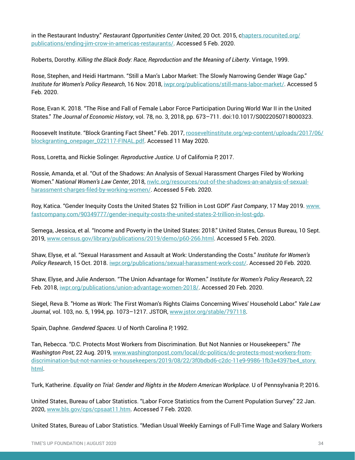in the Restaurant Industry." *Restaurant Opportunities Center United*, 20 Oct. 2015, [chapters.rocunited.org/](http://hapters.rocunited.org/publications/ending-jim-crow-in-americas-restaurants/) [publications/ending-jim-crow-in-americas-restaurants/](http://hapters.rocunited.org/publications/ending-jim-crow-in-americas-restaurants/). Accessed 5 Feb. 2020.

Roberts, Dorothy. *Killing the Black Body: Race, Reproduction and the Meaning of Liberty*. Vintage, 1999.

Rose, Stephen, and Heidi Hartmann. "Still a Man's Labor Market: The Slowly Narrowing Gender Wage Gap." *Institute for Women's Policy Research*, 16 Nov. 2018, [iwpr.org/publications/still-mans-labor-market/](http://iwpr.org/publications/still-mans-labor-market/). Accessed 5 Feb. 2020.

Rose, Evan K. 2018. "The Rise and Fall of Female Labor Force Participation During World War II in the United States." *The Journal of Economic History*, vol. 78, no. 3, 2018, pp. 673–711. doi:10.1017/S0022050718000323.

Roosevelt Institute. "Block Granting Fact Sheet." Feb. 2017, [rooseveltinstitute.org/wp-content/uploads/2017/06/](http://rooseveltinstitute.org/wp-content/uploads/2017/06/blockgranting_onepager_022117-FINAL.pdf) [blockgranting\\_onepager\\_022117-FINAL.pdf.](http://rooseveltinstitute.org/wp-content/uploads/2017/06/blockgranting_onepager_022117-FINAL.pdf) Accessed 11 May 2020.

Ross, Loretta, and Rickie Solinger. *Reproductive Justice*. U of California P, 2017.

Rossie, Amanda, et al. "Out of the Shadows: An Analysis of Sexual Harassment Charges Filed by Working Women." *National Women's Law Center*, 2018, [nwlc.org/resources/out-of-the-shadows-an-analysis-of-sexual](http://nwlc.org/resources/out-of-the-shadows-an-analysis-of-sexual-harassment-charges-filed-by-working-women/)[harassment-charges-filed-by-working-women/.](http://nwlc.org/resources/out-of-the-shadows-an-analysis-of-sexual-harassment-charges-filed-by-working-women/) Accessed 5 Feb. 2020.

Roy, Katica. "Gender Inequity Costs the United States \$2 Trillion in Lost GDP." *Fast Company*, 17 May 2019. [www.](http://www.fastcompany.com/90349777/gender-inequity-costs-the-united-states-2-trillion-in-lost-gdp) [fastcompany.com/90349777/gender-inequity-costs-the-united-states-2-trillion-in-lost-gdp](http://www.fastcompany.com/90349777/gender-inequity-costs-the-united-states-2-trillion-in-lost-gdp).

Semega, Jessica, et al. "Income and Poverty in the United States: 2018." United States, Census Bureau, 10 Sept. 2019, [www.census.gov/library/publications/2019/demo/p60-266.html](http://www.census.gov/library/publications/2019/demo/p60-266.html). Accessed 5 Feb. 2020.

Shaw, Elyse, et al. "Sexual Harassment and Assault at Work: Understanding the Costs." *Institute for Women's Policy Research*, 15 Oct. 2018. [iwpr.org/publications/sexual-harassment-work-cost/](http://iwpr.org/publications/sexual-harassment-work-cost/). Accessed 20 Feb. 2020.

Shaw, Elyse, and Julie Anderson. "The Union Advantage for Women." *Institute for Women's Policy Research*, 22 Feb. 2018, [iwpr.org/publications/union-advantage-women-2018/.](http://iwpr.org/publications/union-advantage-women-2018/) Accessed 20 Feb. 2020.

Siegel, Reva B. "Home as Work: The First Woman's Rights Claims Concerning Wives' Household Labor." *Yale Law Journal*, vol. 103, no. 5, 1994, pp. 1073–1217. JSTOR, [www.jstor.org/stable/797118](http://www.jstor.org/stable/797118).

Spain, Daphne. *Gendered Spaces.* U of North Carolina P, 1992.

Tan, Rebecca. "D.C. Protects Most Workers from Discrimination. But Not Nannies or Housekeepers." *The Washington Post*, 22 Aug. 2019, [www.washingtonpost.com/local/dc-politics/dc-protects-most-workers-from](http://www.washingtonpost.com/local/dc-politics/dc-protects-most-workers-from-discrimination-but-not-nannies-or-housekeepers/2019/08/22/3f0bdbd6-c2dc-11e9-9986-1fb3e4397be4_story.html)[discrimination-but-not-nannies-or-housekeepers/2019/08/22/3f0bdbd6-c2dc-11e9-9986-1fb3e4397be4\\_story.](http://www.washingtonpost.com/local/dc-politics/dc-protects-most-workers-from-discrimination-but-not-nannies-or-housekeepers/2019/08/22/3f0bdbd6-c2dc-11e9-9986-1fb3e4397be4_story.html) [html](http://www.washingtonpost.com/local/dc-politics/dc-protects-most-workers-from-discrimination-but-not-nannies-or-housekeepers/2019/08/22/3f0bdbd6-c2dc-11e9-9986-1fb3e4397be4_story.html).

Turk, Katherine. *Equality on Trial: Gender and Rights in the Modern American Workplace*. U of Pennsylvania P, 2016.

United States, Bureau of Labor Statistics. "Labor Force Statistics from the Current Population Survey." 22 Jan. 2020, [www.bls.gov/cps/cpsaat11.htm](http://www.bls.gov/cps/cpsaat11.htm). Accessed 7 Feb. 2020.

United States, Bureau of Labor Statistics. "Median Usual Weekly Earnings of Full-Time Wage and Salary Workers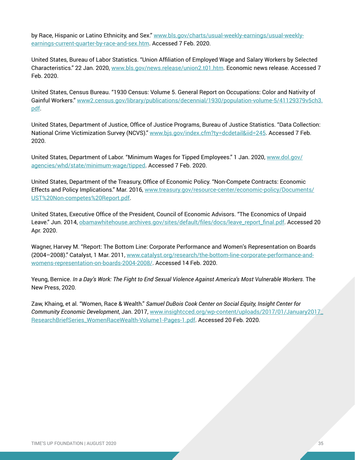by Race, Hispanic or Latino Ethnicity, and Sex." [www.bls.gov/charts/usual-weekly-earnings/usual-weekly](http://www.bls.gov/charts/usual-weekly-earnings/usual-weekly-earnings-current-quarter-by-race-and-sex.htm)[earnings-current-quarter-by-race-and-sex.htm](http://www.bls.gov/charts/usual-weekly-earnings/usual-weekly-earnings-current-quarter-by-race-and-sex.htm). Accessed 7 Feb. 2020.

United States, Bureau of Labor Statistics. "Union Affiliation of Employed Wage and Salary Workers by Selected Characteristics." 22 Jan. 2020, [www.bls.gov/news.release/union2.t01.htm](http://www.bls.gov/news.release/union2.t01.htm). Economic news release. Accessed 7 Feb. 2020.

United States, Census Bureau. "1930 Census: Volume 5. General Report on Occupations: Color and Nativity of Gainful Workers." [www2.census.gov/library/publications/decennial/1930/population-volume-5/41129379v5ch3.](http://www2.census.gov/library/publications/decennial/1930/population-volume-5/41129379v5ch3.pdf) [pdf](http://www2.census.gov/library/publications/decennial/1930/population-volume-5/41129379v5ch3.pdf).

United States, Department of Justice, Office of Justice Programs, Bureau of Justice Statistics. "Data Collection: National Crime Victimization Survey (NCVS)." [www.bjs.gov/index.cfm?ty=dcdetail&iid=245](http://www.bjs.gov/index.cfm?ty=dcdetail&iid=245). Accessed 7 Feb. 2020.

United States, Department of Labor. "Minimum Wages for Tipped Employees." 1 Jan. 2020, [www.dol.gov/](http://www.dol.gov/agencies/whd/state/minimum-wage/tipped) [agencies/whd/state/minimum-wage/tipped.](http://www.dol.gov/agencies/whd/state/minimum-wage/tipped) Accessed 7 Feb. 2020.

United States, Department of the Treasury, Office of Economic Policy. "Non-Compete Contracts: Economic Effects and Policy Implications." Mar. 2016, [www.treasury.gov/resource-center/economic-policy/Documents/](http://www.treasury.gov/resource-center/economic-policy/Documents/UST%20Non-competes%20Report.pdf) [UST%20Non-competes%20Report.pdf.](http://www.treasury.gov/resource-center/economic-policy/Documents/UST%20Non-competes%20Report.pdf)

United States, Executive Office of the President, Council of Economic Advisors. "The Economics of Unpaid Leave." Jun. 2014, [obamawhitehouse.archives.gov/sites/default/files/docs/leave\\_report\\_final.pdf](http://obamawhitehouse.archives.gov/sites/default/files/docs/leave_report_final.pdf). Accessed 20 Apr. 2020.

Wagner, Harvey M. "Report: The Bottom Line: Corporate Performance and Women's Representation on Boards (2004–2008)." Catalyst, 1 Mar. 2011, [www.catalyst.org/research/the-bottom-line-corporate-performance-and](http://www.catalyst.org/research/the-bottom-line-corporate-performance-and-womens-representation-on-boards-2004-2008/)[womens-representation-on-boards-2004-2008/](http://www.catalyst.org/research/the-bottom-line-corporate-performance-and-womens-representation-on-boards-2004-2008/). Accessed 14 Feb. 2020.

Yeung, Bernice. *In a Day's Work: The Fight to End Sexual Violence Against America's Most Vulnerable Workers*. The New Press, 2020.

Zaw, Khaing, et al. "Women, Race & Wealth." *Samuel DuBois Cook Center on Social Equity, Insight Center for Community Economic Development*, Jan. 2017, [www.insightcced.org/wp-content/uploads/2017/01/January2017\\_](http://www.insightcced.org/wp-content/uploads/2017/01/January2017_ResearchBriefSeries_WomenRaceWealth-Volume1-Pages-1.pdf) [ResearchBriefSeries\\_WomenRaceWealth-Volume1-Pages-1.pdf.](http://www.insightcced.org/wp-content/uploads/2017/01/January2017_ResearchBriefSeries_WomenRaceWealth-Volume1-Pages-1.pdf) Accessed 20 Feb. 2020.